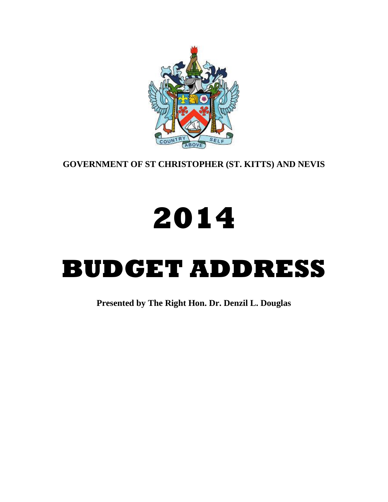

**GOVERNMENT OF ST CHRISTOPHER (ST. KITTS) AND NEVIS**

# **2014**

# **BUDGET ADDRESS**

**Presented by The Right Hon. Dr. Denzil L. Douglas**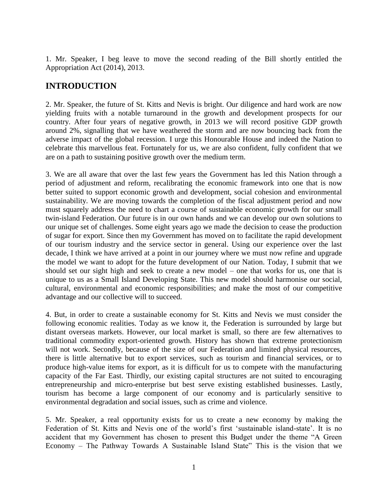1. Mr. Speaker, I beg leave to move the second reading of the Bill shortly entitled the Appropriation Act (2014), 2013.

## **INTRODUCTION**

2. Mr. Speaker, the future of St. Kitts and Nevis is bright. Our diligence and hard work are now yielding fruits with a notable turnaround in the growth and development prospects for our country. After four years of negative growth, in 2013 we will record positive GDP growth around 2%, signalling that we have weathered the storm and are now bouncing back from the adverse impact of the global recession. I urge this Honourable House and indeed the Nation to celebrate this marvellous feat. Fortunately for us, we are also confident, fully confident that we are on a path to sustaining positive growth over the medium term.

3. We are all aware that over the last few years the Government has led this Nation through a period of adjustment and reform, recalibrating the economic framework into one that is now better suited to support economic growth and development, social cohesion and environmental sustainability. We are moving towards the completion of the fiscal adjustment period and now must squarely address the need to chart a course of sustainable economic growth for our small twin-island Federation. Our future is in our own hands and we can develop our own solutions to our unique set of challenges. Some eight years ago we made the decision to cease the production of sugar for export. Since then my Government has moved on to facilitate the rapid development of our tourism industry and the service sector in general. Using our experience over the last decade, I think we have arrived at a point in our journey where we must now refine and upgrade the model we want to adopt for the future development of our Nation. Today, I submit that we should set our sight high and seek to create a new model – one that works for us, one that is unique to us as a Small Island Developing State. This new model should harmonise our social, cultural, environmental and economic responsibilities; and make the most of our competitive advantage and our collective will to succeed.

4. But, in order to create a sustainable economy for St. Kitts and Nevis we must consider the following economic realities. Today as we know it, the Federation is surrounded by large but distant overseas markets. However, our local market is small, so there are few alternatives to traditional commodity export-oriented growth. History has shown that extreme protectionism will not work. Secondly, because of the size of our Federation and limited physical resources, there is little alternative but to export services, such as tourism and financial services, or to produce high-value items for export, as it is difficult for us to compete with the manufacturing capacity of the Far East. Thirdly, our existing capital structures are not suited to encouraging entrepreneurship and micro-enterprise but best serve existing established businesses. Lastly, tourism has become a large component of our economy and is particularly sensitive to environmental degradation and social issues, such as crime and violence.

5. Mr. Speaker, a real opportunity exists for us to create a new economy by making the Federation of St. Kitts and Nevis one of the world's first 'sustainable island-state'. It is no accident that my Government has chosen to present this Budget under the theme "A Green Economy – The Pathway Towards A Sustainable Island State" This is the vision that we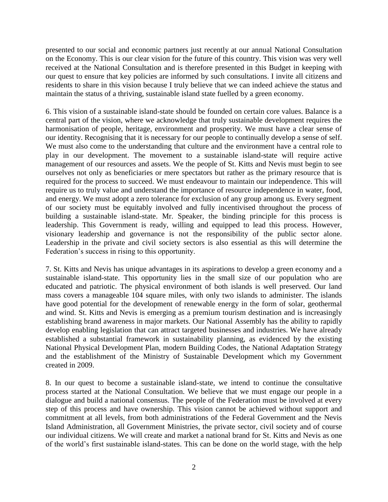presented to our social and economic partners just recently at our annual National Consultation on the Economy. This is our clear vision for the future of this country. This vision was very well received at the National Consultation and is therefore presented in this Budget in keeping with our quest to ensure that key policies are informed by such consultations. I invite all citizens and residents to share in this vision because I truly believe that we can indeed achieve the status and maintain the status of a thriving, sustainable island state fuelled by a green economy.

6. This vision of a sustainable island-state should be founded on certain core values. Balance is a central part of the vision, where we acknowledge that truly sustainable development requires the harmonisation of people, heritage, environment and prosperity. We must have a clear sense of our identity. Recognising that it is necessary for our people to continually develop a sense of self. We must also come to the understanding that culture and the environment have a central role to play in our development. The movement to a sustainable island-state will require active management of our resources and assets. We the people of St. Kitts and Nevis must begin to see ourselves not only as beneficiaries or mere spectators but rather as the primary resource that is required for the process to succeed. We must endeavour to maintain our independence. This will require us to truly value and understand the importance of resource independence in water, food, and energy. We must adopt a zero tolerance for exclusion of any group among us. Every segment of our society must be equitably involved and fully incentivised throughout the process of building a sustainable island-state. Mr. Speaker, the binding principle for this process is leadership. This Government is ready, willing and equipped to lead this process. However, visionary leadership and governance is not the responsibility of the public sector alone. Leadership in the private and civil society sectors is also essential as this will determine the Federation's success in rising to this opportunity.

7. St. Kitts and Nevis has unique advantages in its aspirations to develop a green economy and a sustainable island-state. This opportunity lies in the small size of our population who are educated and patriotic. The physical environment of both islands is well preserved. Our land mass covers a manageable 104 square miles, with only two islands to administer. The islands have good potential for the development of renewable energy in the form of solar, geothermal and wind. St. Kitts and Nevis is emerging as a premium tourism destination and is increasingly establishing brand awareness in major markets. Our National Assembly has the ability to rapidly develop enabling legislation that can attract targeted businesses and industries. We have already established a substantial framework in sustainability planning, as evidenced by the existing National Physical Development Plan, modern Building Codes, the National Adaptation Strategy and the establishment of the Ministry of Sustainable Development which my Government created in 2009.

8. In our quest to become a sustainable island-state, we intend to continue the consultative process started at the National Consultation. We believe that we must engage our people in a dialogue and build a national consensus. The people of the Federation must be involved at every step of this process and have ownership. This vision cannot be achieved without support and commitment at all levels, from both administrations of the Federal Government and the Nevis Island Administration, all Government Ministries, the private sector, civil society and of course our individual citizens. We will create and market a national brand for St. Kitts and Nevis as one of the world's first sustainable island-states. This can be done on the world stage, with the help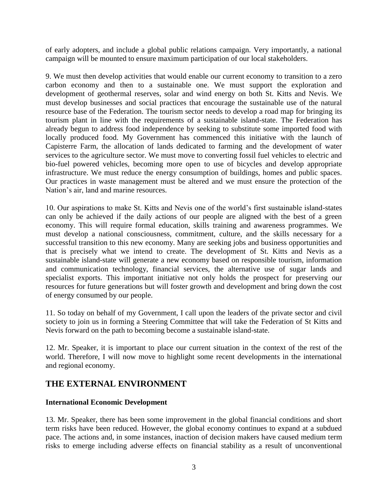of early adopters, and include a global public relations campaign. Very importantly, a national campaign will be mounted to ensure maximum participation of our local stakeholders.

9. We must then develop activities that would enable our current economy to transition to a zero carbon economy and then to a sustainable one. We must support the exploration and development of geothermal reserves, solar and wind energy on both St. Kitts and Nevis. We must develop businesses and social practices that encourage the sustainable use of the natural resource base of the Federation. The tourism sector needs to develop a road map for bringing its tourism plant in line with the requirements of a sustainable island-state. The Federation has already begun to address food independence by seeking to substitute some imported food with locally produced food. My Government has commenced this initiative with the launch of Capisterre Farm, the allocation of lands dedicated to farming and the development of water services to the agriculture sector. We must move to converting fossil fuel vehicles to electric and bio-fuel powered vehicles, becoming more open to use of bicycles and develop appropriate infrastructure. We must reduce the energy consumption of buildings, homes and public spaces. Our practices in waste management must be altered and we must ensure the protection of the Nation's air, land and marine resources.

10. Our aspirations to make St. Kitts and Nevis one of the world's first sustainable island-states can only be achieved if the daily actions of our people are aligned with the best of a green economy. This will require formal education, skills training and awareness programmes. We must develop a national consciousness, commitment, culture, and the skills necessary for a successful transition to this new economy. Many are seeking jobs and business opportunities and that is precisely what we intend to create. The development of St. Kitts and Nevis as a sustainable island-state will generate a new economy based on responsible tourism, information and communication technology, financial services, the alternative use of sugar lands and specialist exports. This important initiative not only holds the prospect for preserving our resources for future generations but will foster growth and development and bring down the cost of energy consumed by our people.

11. So today on behalf of my Government, I call upon the leaders of the private sector and civil society to join us in forming a Steering Committee that will take the Federation of St Kitts and Nevis forward on the path to becoming become a sustainable island-state.

12. Mr. Speaker, it is important to place our current situation in the context of the rest of the world. Therefore, I will now move to highlight some recent developments in the international and regional economy.

### **THE EXTERNAL ENVIRONMENT**

#### **International Economic Development**

13. Mr. Speaker, there has been some improvement in the global financial conditions and short term risks have been reduced. However, the global economy continues to expand at a subdued pace. The actions and, in some instances, inaction of decision makers have caused medium term risks to emerge including adverse effects on financial stability as a result of unconventional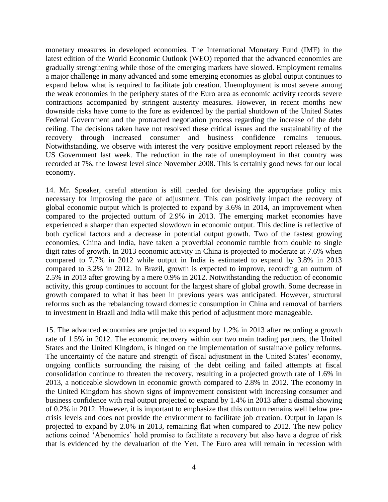monetary measures in developed economies. The International Monetary Fund (IMF) in the latest edition of the World Economic Outlook (WEO) reported that the advanced economies are gradually strengthening while those of the emerging markets have slowed. Employment remains a major challenge in many advanced and some emerging economies as global output continues to expand below what is required to facilitate job creation. Unemployment is most severe among the weak economies in the periphery states of the Euro area as economic activity records severe contractions accompanied by stringent austerity measures. However, in recent months new downside risks have come to the fore as evidenced by the partial shutdown of the United States Federal Government and the protracted negotiation process regarding the increase of the debt ceiling. The decisions taken have not resolved these critical issues and the sustainability of the recovery through increased consumer and business confidence remains tenuous. Notwithstanding, we observe with interest the very positive employment report released by the US Government last week. The reduction in the rate of unemployment in that country was recorded at 7%, the lowest level since November 2008. This is certainly good news for our local economy.

14. Mr. Speaker, careful attention is still needed for devising the appropriate policy mix necessary for improving the pace of adjustment. This can positively impact the recovery of global economic output which is projected to expand by 3.6% in 2014, an improvement when compared to the projected outturn of 2.9% in 2013. The emerging market economies have experienced a sharper than expected slowdown in economic output. This decline is reflective of both cyclical factors and a decrease in potential output growth. Two of the fastest growing economies, China and India, have taken a proverbial economic tumble from double to single digit rates of growth. In 2013 economic activity in China is projected to moderate at 7.6% when compared to 7.7% in 2012 while output in India is estimated to expand by 3.8% in 2013 compared to 3.2% in 2012. In Brazil, growth is expected to improve, recording an outturn of 2.5% in 2013 after growing by a mere 0.9% in 2012. Notwithstanding the reduction of economic activity, this group continues to account for the largest share of global growth. Some decrease in growth compared to what it has been in previous years was anticipated. However, structural reforms such as the rebalancing toward domestic consumption in China and removal of barriers to investment in Brazil and India will make this period of adjustment more manageable.

15. The advanced economies are projected to expand by 1.2% in 2013 after recording a growth rate of 1.5% in 2012. The economic recovery within our two main trading partners, the United States and the United Kingdom, is hinged on the implementation of sustainable policy reforms. The uncertainty of the nature and strength of fiscal adjustment in the United States' economy, ongoing conflicts surrounding the raising of the debt ceiling and failed attempts at fiscal consolidation continue to threaten the recovery, resulting in a projected growth rate of 1.6% in 2013, a noticeable slowdown in economic growth compared to 2.8% in 2012. The economy in the United Kingdom has shown signs of improvement consistent with increasing consumer and business confidence with real output projected to expand by 1.4% in 2013 after a dismal showing of 0.2% in 2012. However, it is important to emphasize that this outturn remains well below precrisis levels and does not provide the environment to facilitate job creation. Output in Japan is projected to expand by 2.0% in 2013, remaining flat when compared to 2012. The new policy actions coined 'Abenomics' hold promise to facilitate a recovery but also have a degree of risk that is evidenced by the devaluation of the Yen. The Euro area will remain in recession with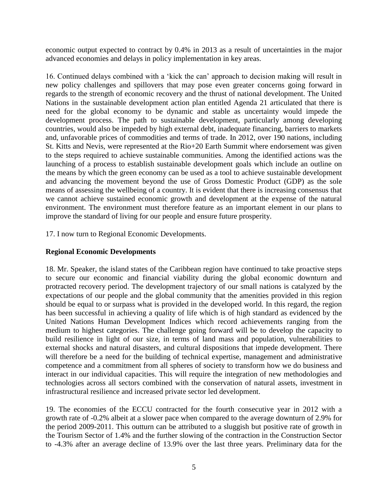economic output expected to contract by 0.4% in 2013 as a result of uncertainties in the major advanced economies and delays in policy implementation in key areas.

16. Continued delays combined with a 'kick the can' approach to decision making will result in new policy challenges and spillovers that may pose even greater concerns going forward in regards to the strength of economic recovery and the thrust of national development. The United Nations in the sustainable development action plan entitled Agenda 21 articulated that there is need for the global economy to be dynamic and stable as uncertainty would impede the development process. The path to sustainable development, particularly among developing countries, would also be impeded by high external debt, inadequate financing, barriers to markets and, unfavorable prices of commodities and terms of trade. In 2012, over 190 nations, including St. Kitts and Nevis, were represented at the Rio+20 Earth Summit where endorsement was given to the steps required to achieve sustainable communities. Among the identified actions was the launching of a process to establish sustainable development goals which include an outline on the means by which the green economy can be used as a tool to achieve sustainable development and advancing the movement beyond the use of Gross Domestic Product (GDP) as the sole means of assessing the wellbeing of a country. It is evident that there is increasing consensus that we cannot achieve sustained economic growth and development at the expense of the natural environment. The environment must therefore feature as an important element in our plans to improve the standard of living for our people and ensure future prosperity.

17. I now turn to Regional Economic Developments.

#### **Regional Economic Developments**

18. Mr. Speaker, the island states of the Caribbean region have continued to take proactive steps to secure our economic and financial viability during the global economic downturn and protracted recovery period. The development trajectory of our small nations is catalyzed by the expectations of our people and the global community that the amenities provided in this region should be equal to or surpass what is provided in the developed world. In this regard, the region has been successful in achieving a quality of life which is of high standard as evidenced by the United Nations Human Development Indices which record achievements ranging from the medium to highest categories. The challenge going forward will be to develop the capacity to build resilience in light of our size, in terms of land mass and population, vulnerabilities to external shocks and natural disasters, and cultural dispositions that impede development. There will therefore be a need for the building of technical expertise, management and administrative competence and a commitment from all spheres of society to transform how we do business and interact in our individual capacities. This will require the integration of new methodologies and technologies across all sectors combined with the conservation of natural assets, investment in infrastructural resilience and increased private sector led development.

19. The economies of the ECCU contracted for the fourth consecutive year in 2012 with a growth rate of -0.2% albeit at a slower pace when compared to the average downturn of 2.9% for the period 2009-2011. This outturn can be attributed to a sluggish but positive rate of growth in the Tourism Sector of 1.4% and the further slowing of the contraction in the Construction Sector to -4.3% after an average decline of 13.9% over the last three years. Preliminary data for the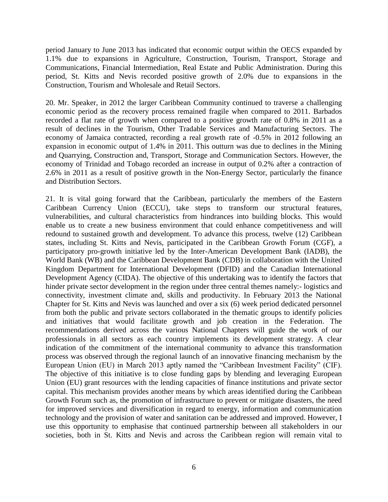period January to June 2013 has indicated that economic output within the OECS expanded by 1.1% due to expansions in Agriculture, Construction, Tourism, Transport, Storage and Communications, Financial Intermediation, Real Estate and Public Administration. During this period, St. Kitts and Nevis recorded positive growth of 2.0% due to expansions in the Construction, Tourism and Wholesale and Retail Sectors.

20. Mr. Speaker, in 2012 the larger Caribbean Community continued to traverse a challenging economic period as the recovery process remained fragile when compared to 2011. Barbados recorded a flat rate of growth when compared to a positive growth rate of 0.8% in 2011 as a result of declines in the Tourism, Other Tradable Services and Manufacturing Sectors. The economy of Jamaica contracted, recording a real growth rate of -0.5% in 2012 following an expansion in economic output of 1.4% in 2011. This outturn was due to declines in the Mining and Quarrying, Construction and, Transport, Storage and Communication Sectors. However, the economy of Trinidad and Tobago recorded an increase in output of 0.2% after a contraction of 2.6% in 2011 as a result of positive growth in the Non-Energy Sector, particularly the finance and Distribution Sectors.

21. It is vital going forward that the Caribbean, particularly the members of the Eastern Caribbean Currency Union (ECCU), take steps to transform our structural features, vulnerabilities, and cultural characteristics from hindrances into building blocks. This would enable us to create a new business environment that could enhance competitiveness and will redound to sustained growth and development. To advance this process, twelve (12) Caribbean states, including St. Kitts and Nevis, participated in the Caribbean Growth Forum (CGF), a participatory pro-growth initiative led by the Inter-American Development Bank (IADB), the World Bank (WB) and the Caribbean Development Bank (CDB) in collaboration with the United Kingdom Department for International Development (DFID) and the Canadian International Development Agency (CIDA). The objective of this undertaking was to identify the factors that hinder private sector development in the region under three central themes namely:- logistics and connectivity, investment climate and, skills and productivity. In February 2013 the National Chapter for St. Kitts and Nevis was launched and over a six (6) week period dedicated personnel from both the public and private sectors collaborated in the thematic groups to identify policies and initiatives that would facilitate growth and job creation in the Federation. The recommendations derived across the various National Chapters will guide the work of our professionals in all sectors as each country implements its development strategy. A clear indication of the commitment of the international community to advance this transformation process was observed through the regional launch of an innovative financing mechanism by the European Union (EU) in March 2013 aptly named the "Caribbean Investment Facility" (CIF). The objective of this initiative is to close funding gaps by blending and leveraging European Union (EU) grant resources with the lending capacities of finance institutions and private sector capital. This mechanism provides another means by which areas identified during the Caribbean Growth Forum such as, the promotion of infrastructure to prevent or mitigate disasters, the need for improved services and diversification in regard to energy, information and communication technology and the provision of water and sanitation can be addressed and improved. However, I use this opportunity to emphasise that continued partnership between all stakeholders in our societies, both in St. Kitts and Nevis and across the Caribbean region will remain vital to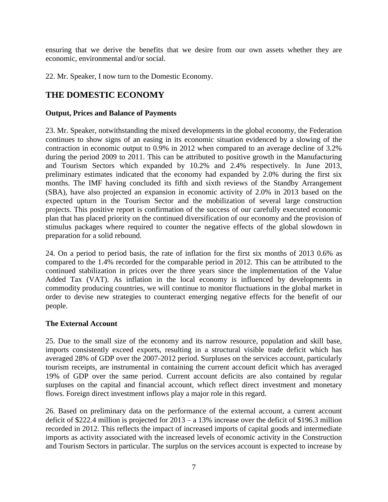ensuring that we derive the benefits that we desire from our own assets whether they are economic, environmental and/or social.

22. Mr. Speaker, I now turn to the Domestic Economy.

# **THE DOMESTIC ECONOMY**

#### **Output, Prices and Balance of Payments**

23. Mr. Speaker, notwithstanding the mixed developments in the global economy, the Federation continues to show signs of an easing in its economic situation evidenced by a slowing of the contraction in economic output to 0.9% in 2012 when compared to an average decline of 3.2% during the period 2009 to 2011. This can be attributed to positive growth in the Manufacturing and Tourism Sectors which expanded by 10.2% and 2.4% respectively. In June 2013, preliminary estimates indicated that the economy had expanded by 2.0% during the first six months. The IMF having concluded its fifth and sixth reviews of the Standby Arrangement (SBA), have also projected an expansion in economic activity of 2.0% in 2013 based on the expected upturn in the Tourism Sector and the mobilization of several large construction projects. This positive report is confirmation of the success of our carefully executed economic plan that has placed priority on the continued diversification of our economy and the provision of stimulus packages where required to counter the negative effects of the global slowdown in preparation for a solid rebound.

24. On a period to period basis, the rate of inflation for the first six months of 2013 0.6% as compared to the 1.4% recorded for the comparable period in 2012. This can be attributed to the continued stabilization in prices over the three years since the implementation of the Value Added Tax (VAT). As inflation in the local economy is influenced by developments in commodity producing countries, we will continue to monitor fluctuations in the global market in order to devise new strategies to counteract emerging negative effects for the benefit of our people.

#### **The External Account**

25. Due to the small size of the economy and its narrow resource, population and skill base, imports consistently exceed exports, resulting in a structural visible trade deficit which has averaged 28% of GDP over the 2007-2012 period. Surpluses on the services account, particularly tourism receipts, are instrumental in containing the current account deficit which has averaged 19% of GDP over the same period. Current account deficits are also contained by regular surpluses on the capital and financial account, which reflect direct investment and monetary flows. Foreign direct investment inflows play a major role in this regard.

26. Based on preliminary data on the performance of the external account, a current account deficit of \$222.4 million is projected for 2013 – a 13% increase over the deficit of \$196.3 million recorded in 2012. This reflects the impact of increased imports of capital goods and intermediate imports as activity associated with the increased levels of economic activity in the Construction and Tourism Sectors in particular. The surplus on the services account is expected to increase by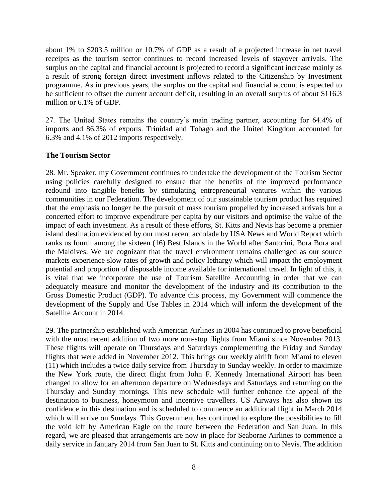about 1% to \$203.5 million or 10.7% of GDP as a result of a projected increase in net travel receipts as the tourism sector continues to record increased levels of stayover arrivals. The surplus on the capital and financial account is projected to record a significant increase mainly as a result of strong foreign direct investment inflows related to the Citizenship by Investment programme. As in previous years, the surplus on the capital and financial account is expected to be sufficient to offset the current account deficit, resulting in an overall surplus of about \$116.3 million or 6.1% of GDP.

27. The United States remains the country's main trading partner, accounting for 64.4% of imports and 86.3% of exports. Trinidad and Tobago and the United Kingdom accounted for 6.3% and 4.1% of 2012 imports respectively.

#### **The Tourism Sector**

28. Mr. Speaker, my Government continues to undertake the development of the Tourism Sector using policies carefully designed to ensure that the benefits of the improved performance redound into tangible benefits by stimulating entrepreneurial ventures within the various communities in our Federation. The development of our sustainable tourism product has required that the emphasis no longer be the pursuit of mass tourism propelled by increased arrivals but a concerted effort to improve expenditure per capita by our visitors and optimise the value of the impact of each investment. As a result of these efforts, St. Kitts and Nevis has become a premier island destination evidenced by our most recent accolade by USA News and World Report which ranks us fourth among the sixteen (16) Best Islands in the World after Santorini, Bora Bora and the Maldives. We are cognizant that the travel environment remains challenged as our source markets experience slow rates of growth and policy lethargy which will impact the employment potential and proportion of disposable income available for international travel. In light of this, it is vital that we incorporate the use of Tourism Satellite Accounting in order that we can adequately measure and monitor the development of the industry and its contribution to the Gross Domestic Product (GDP). To advance this process, my Government will commence the development of the Supply and Use Tables in 2014 which will inform the development of the Satellite Account in 2014.

29. The partnership established with American Airlines in 2004 has continued to prove beneficial with the most recent addition of two more non-stop flights from Miami since November 2013. These flights will operate on Thursdays and Saturdays complementing the Friday and Sunday flights that were added in November 2012. This brings our weekly airlift from Miami to eleven (11) which includes a twice daily service from Thursday to Sunday weekly. In order to maximize the New York route, the direct flight from John F. Kennedy International Airport has been changed to allow for an afternoon departure on Wednesdays and Saturdays and returning on the Thursday and Sunday mornings. This new schedule will further enhance the appeal of the destination to business, honeymoon and incentive travellers. US Airways has also shown its confidence in this destination and is scheduled to commence an additional flight in March 2014 which will arrive on Sundays. This Government has continued to explore the possibilities to fill the void left by American Eagle on the route between the Federation and San Juan. In this regard, we are pleased that arrangements are now in place for Seaborne Airlines to commence a daily service in January 2014 from San Juan to St. Kitts and continuing on to Nevis. The addition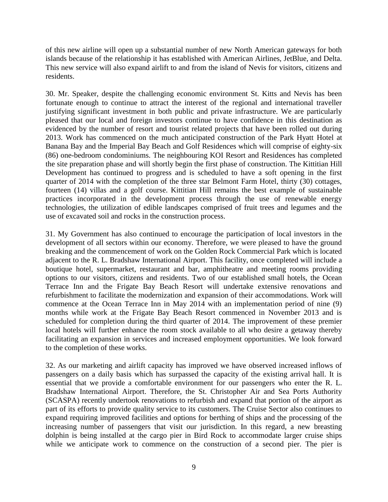of this new airline will open up a substantial number of new North American gateways for both islands because of the relationship it has established with American Airlines, JetBlue, and Delta. This new service will also expand airlift to and from the island of Nevis for visitors, citizens and residents.

30. Mr. Speaker, despite the challenging economic environment St. Kitts and Nevis has been fortunate enough to continue to attract the interest of the regional and international traveller justifying significant investment in both public and private infrastructure. We are particularly pleased that our local and foreign investors continue to have confidence in this destination as evidenced by the number of resort and tourist related projects that have been rolled out during 2013. Work has commenced on the much anticipated construction of the Park Hyatt Hotel at Banana Bay and the Imperial Bay Beach and Golf Residences which will comprise of eighty-six (86) one-bedroom condominiums. The neighbouring KOI Resort and Residences has completed the site preparation phase and will shortly begin the first phase of construction. The Kittitian Hill Development has continued to progress and is scheduled to have a soft opening in the first quarter of 2014 with the completion of the three star Belmont Farm Hotel, thirty (30) cottages, fourteen (14) villas and a golf course. Kittitian Hill remains the best example of sustainable practices incorporated in the development process through the use of renewable energy technologies, the utilization of edible landscapes comprised of fruit trees and legumes and the use of excavated soil and rocks in the construction process.

31. My Government has also continued to encourage the participation of local investors in the development of all sectors within our economy. Therefore, we were pleased to have the ground breaking and the commencement of work on the Golden Rock Commercial Park which is located adjacent to the R. L. Bradshaw International Airport. This facility, once completed will include a boutique hotel, supermarket, restaurant and bar, amphitheatre and meeting rooms providing options to our visitors, citizens and residents. Two of our established small hotels, the Ocean Terrace Inn and the Frigate Bay Beach Resort will undertake extensive renovations and refurbishment to facilitate the modernization and expansion of their accommodations. Work will commence at the Ocean Terrace Inn in May 2014 with an implementation period of nine (9) months while work at the Frigate Bay Beach Resort commenced in November 2013 and is scheduled for completion during the third quarter of 2014. The improvement of these premier local hotels will further enhance the room stock available to all who desire a getaway thereby facilitating an expansion in services and increased employment opportunities. We look forward to the completion of these works.

32. As our marketing and airlift capacity has improved we have observed increased inflows of passengers on a daily basis which has surpassed the capacity of the existing arrival hall. It is essential that we provide a comfortable environment for our passengers who enter the R. L. Bradshaw International Airport. Therefore, the St. Christopher Air and Sea Ports Authority (SCASPA) recently undertook renovations to refurbish and expand that portion of the airport as part of its efforts to provide quality service to its customers. The Cruise Sector also continues to expand requiring improved facilities and options for berthing of ships and the processing of the increasing number of passengers that visit our jurisdiction. In this regard, a new breasting dolphin is being installed at the cargo pier in Bird Rock to accommodate larger cruise ships while we anticipate work to commence on the construction of a second pier. The pier is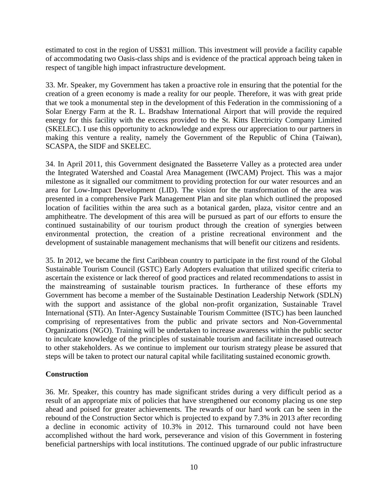estimated to cost in the region of US\$31 million. This investment will provide a facility capable of accommodating two Oasis-class ships and is evidence of the practical approach being taken in respect of tangible high impact infrastructure development.

33. Mr. Speaker, my Government has taken a proactive role in ensuring that the potential for the creation of a green economy is made a reality for our people. Therefore, it was with great pride that we took a monumental step in the development of this Federation in the commissioning of a Solar Energy Farm at the R. L. Bradshaw International Airport that will provide the required energy for this facility with the excess provided to the St. Kitts Electricity Company Limited (SKELEC). I use this opportunity to acknowledge and express our appreciation to our partners in making this venture a reality, namely the Government of the Republic of China (Taiwan), SCASPA, the SIDF and SKELEC.

34. In April 2011, this Government designated the Basseterre Valley as a protected area under the Integrated Watershed and Coastal Area Management (IWCAM) Project. This was a major milestone as it signalled our commitment to providing protection for our water resources and an area for Low-Impact Development (LID). The vision for the transformation of the area was presented in a comprehensive Park Management Plan and site plan which outlined the proposed location of facilities within the area such as a botanical garden, plaza, visitor centre and an amphitheatre. The development of this area will be pursued as part of our efforts to ensure the continued sustainability of our tourism product through the creation of synergies between environmental protection, the creation of a pristine recreational environment and the development of sustainable management mechanisms that will benefit our citizens and residents.

35. In 2012, we became the first Caribbean country to participate in the first round of the Global Sustainable Tourism Council (GSTC) Early Adopters evaluation that utilized specific criteria to ascertain the existence or lack thereof of good practices and related recommendations to assist in the mainstreaming of sustainable tourism practices. In furtherance of these efforts my Government has become a member of the Sustainable Destination Leadership Network (SDLN) with the support and assistance of the global non-profit organization, Sustainable Travel International (STI). An Inter-Agency Sustainable Tourism Committee (ISTC) has been launched comprising of representatives from the public and private sectors and Non-Governmental Organizations (NGO). Training will be undertaken to increase awareness within the public sector to inculcate knowledge of the principles of sustainable tourism and facilitate increased outreach to other stakeholders. As we continue to implement our tourism strategy please be assured that steps will be taken to protect our natural capital while facilitating sustained economic growth.

#### **Construction**

36. Mr. Speaker, this country has made significant strides during a very difficult period as a result of an appropriate mix of policies that have strengthened our economy placing us one step ahead and poised for greater achievements. The rewards of our hard work can be seen in the rebound of the Construction Sector which is projected to expand by 7.3% in 2013 after recording a decline in economic activity of 10.3% in 2012. This turnaround could not have been accomplished without the hard work, perseverance and vision of this Government in fostering beneficial partnerships with local institutions. The continued upgrade of our public infrastructure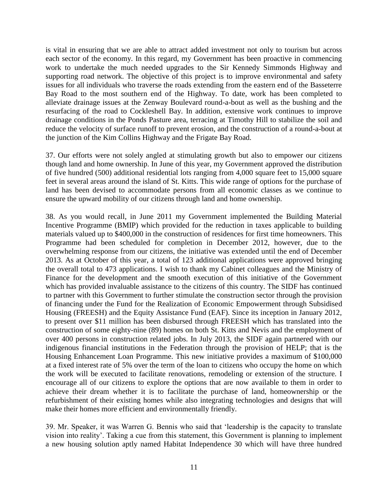is vital in ensuring that we are able to attract added investment not only to tourism but across each sector of the economy. In this regard, my Government has been proactive in commencing work to undertake the much needed upgrades to the Sir Kennedy Simmonds Highway and supporting road network. The objective of this project is to improve environmental and safety issues for all individuals who traverse the roads extending from the eastern end of the Basseterre Bay Road to the most southern end of the Highway. To date, work has been completed to alleviate drainage issues at the Zenway Boulevard round-a-bout as well as the bushing and the resurfacing of the road to Cockleshell Bay. In addition, extensive work continues to improve drainage conditions in the Ponds Pasture area, terracing at Timothy Hill to stabilize the soil and reduce the velocity of surface runoff to prevent erosion, and the construction of a round-a-bout at the junction of the Kim Collins Highway and the Frigate Bay Road.

37. Our efforts were not solely angled at stimulating growth but also to empower our citizens though land and home ownership. In June of this year, my Government approved the distribution of five hundred (500) additional residential lots ranging from 4,000 square feet to 15,000 square feet in several areas around the island of St. Kitts. This wide range of options for the purchase of land has been devised to accommodate persons from all economic classes as we continue to ensure the upward mobility of our citizens through land and home ownership.

38. As you would recall, in June 2011 my Government implemented the Building Material Incentive Programme (BMIP) which provided for the reduction in taxes applicable to building materials valued up to \$400,000 in the construction of residences for first time homeowners. This Programme had been scheduled for completion in December 2012, however, due to the overwhelming response from our citizens, the initiative was extended until the end of December 2013. As at October of this year, a total of 123 additional applications were approved bringing the overall total to 473 applications. I wish to thank my Cabinet colleagues and the Ministry of Finance for the development and the smooth execution of this initiative of the Government which has provided invaluable assistance to the citizens of this country. The SIDF has continued to partner with this Government to further stimulate the construction sector through the provision of financing under the Fund for the Realization of Economic Empowerment through Subsidised Housing (FREESH) and the Equity Assistance Fund (EAF). Since its inception in January 2012, to present over \$11 million has been disbursed through FREESH which has translated into the construction of some eighty-nine (89) homes on both St. Kitts and Nevis and the employment of over 400 persons in construction related jobs. In July 2013, the SIDF again partnered with our indigenous financial institutions in the Federation through the provision of HELP; that is the Housing Enhancement Loan Programme. This new initiative provides a maximum of \$100,000 at a fixed interest rate of 5% over the term of the loan to citizens who occupy the home on which the work will be executed to facilitate renovations, remodeling or extension of the structure. I encourage all of our citizens to explore the options that are now available to them in order to achieve their dream whether it is to facilitate the purchase of land, homeownership or the refurbishment of their existing homes while also integrating technologies and designs that will make their homes more efficient and environmentally friendly.

39. Mr. Speaker, it was Warren G. Bennis who said that 'leadership is the capacity to translate vision into reality'. Taking a cue from this statement, this Government is planning to implement a new housing solution aptly named Habitat Independence 30 which will have three hundred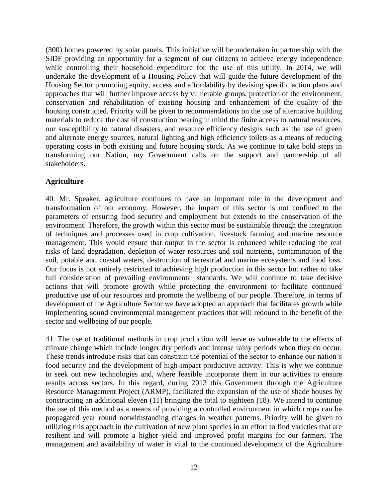(300) homes powered by solar panels. This initiative will be undertaken in partnership with the SIDF providing an opportunity for a segment of our citizens to achieve energy independence while controlling their household expenditure for the use of this utility. In 2014, we will undertake the development of a Housing Policy that will guide the future development of the Housing Sector promoting equity, access and affordability by devising specific action plans and approaches that will further improve access by vulnerable groups, protection of the environment, conservation and rehabilitation of existing housing and enhancement of the quality of the housing constructed. Priority will be given to recommendations on the use of alternative building materials to reduce the cost of construction bearing in mind the finite access to natural resources, our susceptibility to natural disasters, and resource efficiency designs such as the use of green and alternate energy sources, natural lighting and high efficiency toilets as a means of reducing operating costs in both existing and future housing stock. As we continue to take bold steps in transforming our Nation, my Government calls on the support and partnership of all stakeholders.

#### **Agriculture**

40. Mr. Speaker, agriculture continues to have an important role in the development and transformation of our economy. However, the impact of this sector is not confined to the parameters of ensuring food security and employment but extends to the conservation of the environment. Therefore, the growth within this sector must be sustainable through the integration of techniques and processes used in crop cultivation, livestock farming and marine resource management. This would ensure that output in the sector is enhanced while reducing the real risks of land degradation, depletion of water resources and soil nutrients, contamination of the soil, potable and coastal waters, destruction of terrestrial and marine ecosystems and food loss. Our focus is not entirely restricted to achieving high production in this sector but rather to take full consideration of prevailing environmental standards. We will continue to take decisive actions that will promote growth while protecting the environment to facilitate continued productive use of our resources and promote the wellbeing of our people. Therefore, in terms of development of the Agriculture Sector we have adopted an approach that facilitates growth while implementing sound environmental management practices that will redound to the benefit of the sector and wellbeing of our people.

41. The use of traditional methods in crop production will leave us vulnerable to the effects of climate change which include longer dry periods and intense rainy periods when they do occur. These trends introduce risks that can constrain the potential of the sector to enhance our nation's food security and the development of high-impact productive activity. This is why we continue to seek out new technologies and, where feasible incorporate them in our activities to ensure results across sectors. In this regard, during 2013 this Government through the Agriculture Resource Management Project (ARMP), facilitated the expansion of the use of shade houses by constructing an additional eleven (11) bringing the total to eighteen (18). We intend to continue the use of this method as a means of providing a controlled environment in which crops can be propagated year round notwithstanding changes in weather patterns. Priority will be given to utilizing this approach in the cultivation of new plant species in an effort to find varieties that are resilient and will promote a higher yield and improved profit margins for our farmers. The management and availability of water is vital to the continued development of the Agriculture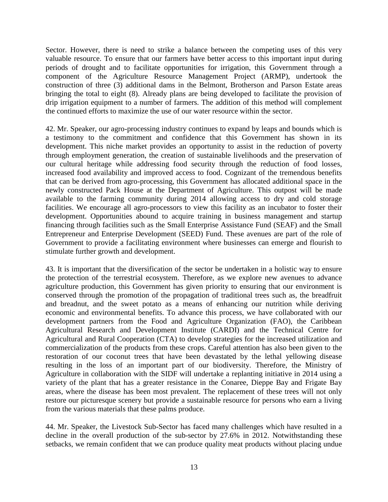Sector. However, there is need to strike a balance between the competing uses of this very valuable resource. To ensure that our farmers have better access to this important input during periods of drought and to facilitate opportunities for irrigation, this Government through a component of the Agriculture Resource Management Project (ARMP), undertook the construction of three (3) additional dams in the Belmont, Brotherson and Parson Estate areas bringing the total to eight (8). Already plans are being developed to facilitate the provision of drip irrigation equipment to a number of farmers. The addition of this method will complement the continued efforts to maximize the use of our water resource within the sector.

42. Mr. Speaker, our agro-processing industry continues to expand by leaps and bounds which is a testimony to the commitment and confidence that this Government has shown in its development. This niche market provides an opportunity to assist in the reduction of poverty through employment generation, the creation of sustainable livelihoods and the preservation of our cultural heritage while addressing food security through the reduction of food losses, increased food availability and improved access to food. Cognizant of the tremendous benefits that can be derived from agro-processing, this Government has allocated additional space in the newly constructed Pack House at the Department of Agriculture. This outpost will be made available to the farming community during 2014 allowing access to dry and cold storage facilities. We encourage all agro-processors to view this facility as an incubator to foster their development. Opportunities abound to acquire training in business management and startup financing through facilities such as the Small Enterprise Assistance Fund (SEAF) and the Small Entrepreneur and Enterprise Development (SEED) Fund. These avenues are part of the role of Government to provide a facilitating environment where businesses can emerge and flourish to stimulate further growth and development.

43. It is important that the diversification of the sector be undertaken in a holistic way to ensure the protection of the terrestrial ecosystem. Therefore, as we explore new avenues to advance agriculture production, this Government has given priority to ensuring that our environment is conserved through the promotion of the propagation of traditional trees such as, the breadfruit and breadnut, and the sweet potato as a means of enhancing our nutrition while deriving economic and environmental benefits. To advance this process, we have collaborated with our development partners from the Food and Agriculture Organization (FAO), the Caribbean Agricultural Research and Development Institute (CARDI) and the Technical Centre for Agricultural and Rural Cooperation (CTA) to develop strategies for the increased utilization and commercialization of the products from these crops. Careful attention has also been given to the restoration of our coconut trees that have been devastated by the lethal yellowing disease resulting in the loss of an important part of our biodiversity. Therefore, the Ministry of Agriculture in collaboration with the SIDF will undertake a replanting initiative in 2014 using a variety of the plant that has a greater resistance in the Conaree, Dieppe Bay and Frigate Bay areas, where the disease has been most prevalent. The replacement of these trees will not only restore our picturesque scenery but provide a sustainable resource for persons who earn a living from the various materials that these palms produce.

44. Mr. Speaker, the Livestock Sub-Sector has faced many challenges which have resulted in a decline in the overall production of the sub-sector by 27.6% in 2012. Notwithstanding these setbacks, we remain confident that we can produce quality meat products without placing undue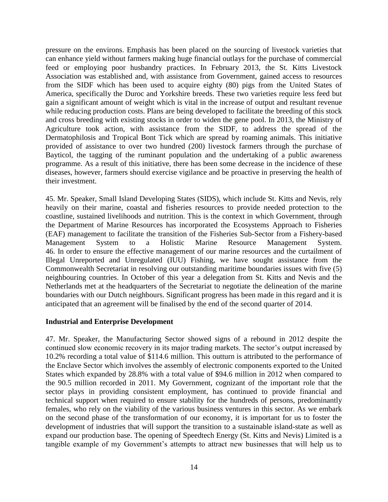pressure on the environs. Emphasis has been placed on the sourcing of livestock varieties that can enhance yield without farmers making huge financial outlays for the purchase of commercial feed or employing poor husbandry practices. In February 2013, the St. Kitts Livestock Association was established and, with assistance from Government, gained access to resources from the SIDF which has been used to acquire eighty (80) pigs from the United States of America, specifically the Duroc and Yorkshire breeds. These two varieties require less feed but gain a significant amount of weight which is vital in the increase of output and resultant revenue while reducing production costs. Plans are being developed to facilitate the breeding of this stock and cross breeding with existing stocks in order to widen the gene pool. In 2013, the Ministry of Agriculture took action, with assistance from the SIDF, to address the spread of the Dermatophilosis and Tropical Bont Tick which are spread by roaming animals. This initiative provided of assistance to over two hundred (200) livestock farmers through the purchase of Bayticol, the tagging of the ruminant population and the undertaking of a public awareness programme. As a result of this initiative, there has been some decrease in the incidence of these diseases, however, farmers should exercise vigilance and be proactive in preserving the health of their investment.

45. Mr. Speaker, Small Island Developing States (SIDS), which include St. Kitts and Nevis, rely heavily on their marine, coastal and fisheries resources to provide needed protection to the coastline, sustained livelihoods and nutrition. This is the context in which Government, through the Department of Marine Resources has incorporated the Ecosystems Approach to Fisheries (EAF) management to facilitate the transition of the Fisheries Sub-Sector from a Fishery-based Management System to a Holistic Marine Resource Management System. 46. In order to ensure the effective management of our marine resources and the curtailment of Illegal Unreported and Unregulated (IUU) Fishing, we have sought assistance from the Commonwealth Secretariat in resolving our outstanding maritime boundaries issues with five (5) neighbouring countries. In October of this year a delegation from St. Kitts and Nevis and the Netherlands met at the headquarters of the Secretariat to negotiate the delineation of the marine boundaries with our Dutch neighbours. Significant progress has been made in this regard and it is anticipated that an agreement will be finalised by the end of the second quarter of 2014.

#### **Industrial and Enterprise Development**

47. Mr. Speaker, the Manufacturing Sector showed signs of a rebound in 2012 despite the continued slow economic recovery in its major trading markets. The sector's output increased by 10.2% recording a total value of \$114.6 million. This outturn is attributed to the performance of the Enclave Sector which involves the assembly of electronic components exported to the United States which expanded by 28.8% with a total value of \$94.6 million in 2012 when compared to the 90.5 million recorded in 2011. My Government, cognizant of the important role that the sector plays in providing consistent employment, has continued to provide financial and technical support when required to ensure stability for the hundreds of persons, predominantly females, who rely on the viability of the various business ventures in this sector. As we embark on the second phase of the transformation of our economy, it is important for us to foster the development of industries that will support the transition to a sustainable island-state as well as expand our production base. The opening of Speedtech Energy (St. Kitts and Nevis) Limited is a tangible example of my Government's attempts to attract new businesses that will help us to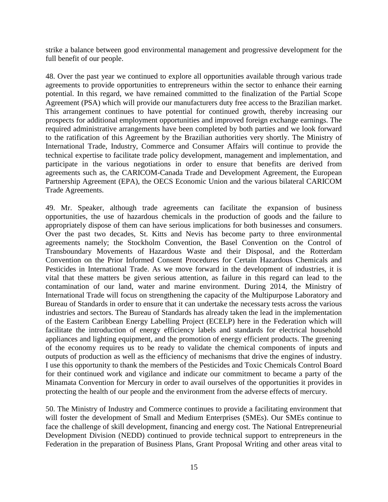strike a balance between good environmental management and progressive development for the full benefit of our people.

48. Over the past year we continued to explore all opportunities available through various trade agreements to provide opportunities to entrepreneurs within the sector to enhance their earning potential. In this regard, we have remained committed to the finalization of the Partial Scope Agreement (PSA) which will provide our manufacturers duty free access to the Brazilian market. This arrangement continues to have potential for continued growth, thereby increasing our prospects for additional employment opportunities and improved foreign exchange earnings. The required administrative arrangements have been completed by both parties and we look forward to the ratification of this Agreement by the Brazilian authorities very shortly. The Ministry of International Trade, Industry, Commerce and Consumer Affairs will continue to provide the technical expertise to facilitate trade policy development, management and implementation, and participate in the various negotiations in order to ensure that benefits are derived from agreements such as, the CARICOM-Canada Trade and Development Agreement, the European Partnership Agreement (EPA), the OECS Economic Union and the various bilateral CARICOM Trade Agreements.

49. Mr. Speaker, although trade agreements can facilitate the expansion of business opportunities, the use of hazardous chemicals in the production of goods and the failure to appropriately dispose of them can have serious implications for both businesses and consumers. Over the past two decades, St. Kitts and Nevis has become party to three environmental agreements namely; the Stockholm Convention, the Basel Convention on the Control of Transboundary Movements of Hazardous Waste and their Disposal, and the Rotterdam Convention on the Prior Informed Consent Procedures for Certain Hazardous Chemicals and Pesticides in International Trade. As we move forward in the development of industries, it is vital that these matters be given serious attention, as failure in this regard can lead to the contamination of our land, water and marine environment. During 2014, the Ministry of International Trade will focus on strengthening the capacity of the Multipurpose Laboratory and Bureau of Standards in order to ensure that it can undertake the necessary tests across the various industries and sectors. The Bureau of Standards has already taken the lead in the implementation of the Eastern Caribbean Energy Labelling Project (ECELP) here in the Federation which will facilitate the introduction of energy efficiency labels and standards for electrical household appliances and lighting equipment, and the promotion of energy efficient products. The greening of the economy requires us to be ready to validate the chemical components of inputs and outputs of production as well as the efficiency of mechanisms that drive the engines of industry. I use this opportunity to thank the members of the Pesticides and Toxic Chemicals Control Board for their continued work and vigilance and indicate our commitment to became a party of the Minamata Convention for Mercury in order to avail ourselves of the opportunities it provides in protecting the health of our people and the environment from the adverse effects of mercury.

50. The Ministry of Industry and Commerce continues to provide a facilitating environment that will foster the development of Small and Medium Enterprises (SMEs). Our SMEs continue to face the challenge of skill development, financing and energy cost. The National Entrepreneurial Development Division (NEDD) continued to provide technical support to entrepreneurs in the Federation in the preparation of Business Plans, Grant Proposal Writing and other areas vital to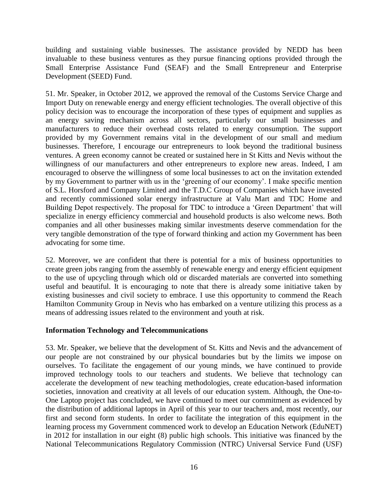building and sustaining viable businesses. The assistance provided by NEDD has been invaluable to these business ventures as they pursue financing options provided through the Small Enterprise Assistance Fund (SEAF) and the Small Entrepreneur and Enterprise Development (SEED) Fund.

51. Mr. Speaker, in October 2012, we approved the removal of the Customs Service Charge and Import Duty on renewable energy and energy efficient technologies. The overall objective of this policy decision was to encourage the incorporation of these types of equipment and supplies as an energy saving mechanism across all sectors, particularly our small businesses and manufacturers to reduce their overhead costs related to energy consumption. The support provided by my Government remains vital in the development of our small and medium businesses. Therefore, I encourage our entrepreneurs to look beyond the traditional business ventures. A green economy cannot be created or sustained here in St Kitts and Nevis without the willingness of our manufacturers and other entrepreneurs to explore new areas. Indeed, I am encouraged to observe the willingness of some local businesses to act on the invitation extended by my Government to partner with us in the 'greening of our economy'. I make specific mention of S.L. Horsford and Company Limited and the T.D.C Group of Companies which have invested and recently commissioned solar energy infrastructure at Valu Mart and TDC Home and Building Depot respectively. The proposal for TDC to introduce a 'Green Department' that will specialize in energy efficiency commercial and household products is also welcome news. Both companies and all other businesses making similar investments deserve commendation for the very tangible demonstration of the type of forward thinking and action my Government has been advocating for some time.

52. Moreover, we are confident that there is potential for a mix of business opportunities to create green jobs ranging from the assembly of renewable energy and energy efficient equipment to the use of upcycling through which old or discarded materials are converted into something useful and beautiful. It is encouraging to note that there is already some initiative taken by existing businesses and civil society to embrace. I use this opportunity to commend the Reach Hamilton Community Group in Nevis who has embarked on a venture utilizing this process as a means of addressing issues related to the environment and youth at risk.

#### **Information Technology and Telecommunications**

53. Mr. Speaker, we believe that the development of St. Kitts and Nevis and the advancement of our people are not constrained by our physical boundaries but by the limits we impose on ourselves. To facilitate the engagement of our young minds, we have continued to provide improved technology tools to our teachers and students. We believe that technology can accelerate the development of new teaching methodologies, create education-based information societies, innovation and creativity at all levels of our education system. Although, the One-to-One Laptop project has concluded, we have continued to meet our commitment as evidenced by the distribution of additional laptops in April of this year to our teachers and, most recently, our first and second form students. In order to facilitate the integration of this equipment in the learning process my Government commenced work to develop an Education Network (EduNET) in 2012 for installation in our eight (8) public high schools. This initiative was financed by the National Telecommunications Regulatory Commission (NTRC) Universal Service Fund (USF)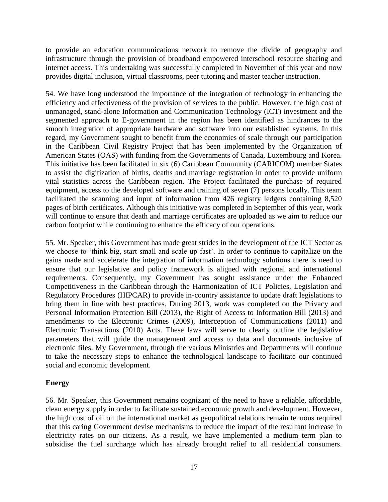to provide an education communications network to remove the divide of geography and infrastructure through the provision of broadband empowered interschool resource sharing and internet access. This undertaking was successfully completed in November of this year and now provides digital inclusion, virtual classrooms, peer tutoring and master teacher instruction.

54. We have long understood the importance of the integration of technology in enhancing the efficiency and effectiveness of the provision of services to the public. However, the high cost of unmanaged, stand-alone Information and Communication Technology (ICT) investment and the segmented approach to E-government in the region has been identified as hindrances to the smooth integration of appropriate hardware and software into our established systems. In this regard, my Government sought to benefit from the economies of scale through our participation in the Caribbean Civil Registry Project that has been implemented by the Organization of American States (OAS) with funding from the Governments of Canada, Luxembourg and Korea. This initiative has been facilitated in six (6) Caribbean Community (CARICOM) member States to assist the digitization of births, deaths and marriage registration in order to provide uniform vital statistics across the Caribbean region. The Project facilitated the purchase of required equipment, access to the developed software and training of seven (7) persons locally. This team facilitated the scanning and input of information from 426 registry ledgers containing 8,520 pages of birth certificates. Although this initiative was completed in September of this year, work will continue to ensure that death and marriage certificates are uploaded as we aim to reduce our carbon footprint while continuing to enhance the efficacy of our operations.

55. Mr. Speaker, this Government has made great strides in the development of the ICT Sector as we choose to 'think big, start small and scale up fast'. In order to continue to capitalize on the gains made and accelerate the integration of information technology solutions there is need to ensure that our legislative and policy framework is aligned with regional and international requirements. Consequently, my Government has sought assistance under the Enhanced Competitiveness in the Caribbean through the Harmonization of ICT Policies, Legislation and Regulatory Procedures (HIPCAR) to provide in-country assistance to update draft legislations to bring them in line with best practices. During 2013, work was completed on the Privacy and Personal Information Protection Bill (2013), the Right of Access to Information Bill (2013) and amendments to the Electronic Crimes (2009), Interception of Communications (2011) and Electronic Transactions (2010) Acts. These laws will serve to clearly outline the legislative parameters that will guide the management and access to data and documents inclusive of electronic files. My Government, through the various Ministries and Departments will continue to take the necessary steps to enhance the technological landscape to facilitate our continued social and economic development.

#### **Energy**

56. Mr. Speaker, this Government remains cognizant of the need to have a reliable, affordable, clean energy supply in order to facilitate sustained economic growth and development. However, the high cost of oil on the international market as geopolitical relations remain tenuous required that this caring Government devise mechanisms to reduce the impact of the resultant increase in electricity rates on our citizens. As a result, we have implemented a medium term plan to subsidise the fuel surcharge which has already brought relief to all residential consumers.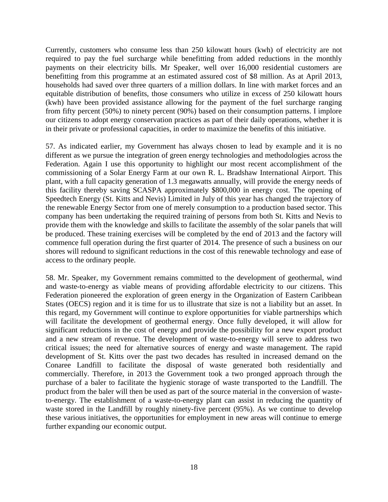Currently, customers who consume less than 250 kilowatt hours (kwh) of electricity are not required to pay the fuel surcharge while benefitting from added reductions in the monthly payments on their electricity bills. Mr Speaker, well over 16,000 residential customers are benefitting from this programme at an estimated assured cost of \$8 million. As at April 2013, households had saved over three quarters of a million dollars. In line with market forces and an equitable distribution of benefits, those consumers who utilize in excess of 250 kilowatt hours (kwh) have been provided assistance allowing for the payment of the fuel surcharge ranging from fifty percent (50%) to ninety percent (90%) based on their consumption patterns. I implore our citizens to adopt energy conservation practices as part of their daily operations, whether it is in their private or professional capacities, in order to maximize the benefits of this initiative.

57. As indicated earlier, my Government has always chosen to lead by example and it is no different as we pursue the integration of green energy technologies and methodologies across the Federation. Again I use this opportunity to highlight our most recent accomplishment of the commissioning of a Solar Energy Farm at our own R. L. Bradshaw International Airport. This plant, with a full capacity generation of 1.3 megawatts annually, will provide the energy needs of this facility thereby saving SCASPA approximately \$800,000 in energy cost. The opening of Speedtech Energy (St. Kitts and Nevis) Limited in July of this year has changed the trajectory of the renewable Energy Sector from one of merely consumption to a production based sector. This company has been undertaking the required training of persons from both St. Kitts and Nevis to provide them with the knowledge and skills to facilitate the assembly of the solar panels that will be produced. These training exercises will be completed by the end of 2013 and the factory will commence full operation during the first quarter of 2014. The presence of such a business on our shores will redound to significant reductions in the cost of this renewable technology and ease of access to the ordinary people.

58. Mr. Speaker, my Government remains committed to the development of geothermal, wind and waste-to-energy as viable means of providing affordable electricity to our citizens. This Federation pioneered the exploration of green energy in the Organization of Eastern Caribbean States (OECS) region and it is time for us to illustrate that size is not a liability but an asset. In this regard, my Government will continue to explore opportunities for viable partnerships which will facilitate the development of geothermal energy. Once fully developed, it will allow for significant reductions in the cost of energy and provide the possibility for a new export product and a new stream of revenue. The development of waste-to-energy will serve to address two critical issues; the need for alternative sources of energy and waste management. The rapid development of St. Kitts over the past two decades has resulted in increased demand on the Conaree Landfill to facilitate the disposal of waste generated both residentially and commercially. Therefore, in 2013 the Government took a two pronged approach through the purchase of a baler to facilitate the hygienic storage of waste transported to the Landfill. The product from the baler will then be used as part of the source material in the conversion of wasteto-energy. The establishment of a waste-to-energy plant can assist in reducing the quantity of waste stored in the Landfill by roughly ninety-five percent (95%). As we continue to develop these various initiatives, the opportunities for employment in new areas will continue to emerge further expanding our economic output.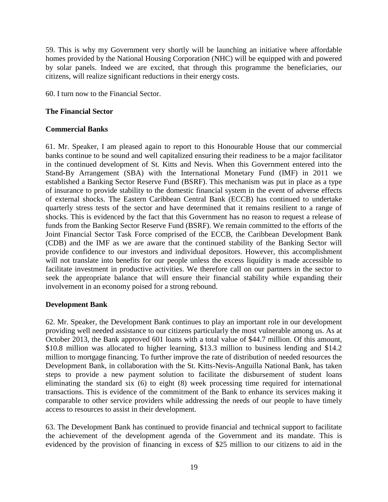59. This is why my Government very shortly will be launching an initiative where affordable homes provided by the National Housing Corporation (NHC) will be equipped with and powered by solar panels. Indeed we are excited, that through this programme the beneficiaries, our citizens, will realize significant reductions in their energy costs.

60. I turn now to the Financial Sector.

#### **The Financial Sector**

#### **Commercial Banks**

61. Mr. Speaker, I am pleased again to report to this Honourable House that our commercial banks continue to be sound and well capitalized ensuring their readiness to be a major facilitator in the continued development of St. Kitts and Nevis. When this Government entered into the Stand-By Arrangement (SBA) with the International Monetary Fund (IMF) in 2011 we established a Banking Sector Reserve Fund (BSRF). This mechanism was put in place as a type of insurance to provide stability to the domestic financial system in the event of adverse effects of external shocks. The Eastern Caribbean Central Bank (ECCB) has continued to undertake quarterly stress tests of the sector and have determined that it remains resilient to a range of shocks. This is evidenced by the fact that this Government has no reason to request a release of funds from the Banking Sector Reserve Fund (BSRF). We remain committed to the efforts of the Joint Financial Sector Task Force comprised of the ECCB, the Caribbean Development Bank (CDB) and the IMF as we are aware that the continued stability of the Banking Sector will provide confidence to our investors and individual depositors. However, this accomplishment will not translate into benefits for our people unless the excess liquidity is made accessible to facilitate investment in productive activities. We therefore call on our partners in the sector to seek the appropriate balance that will ensure their financial stability while expanding their involvement in an economy poised for a strong rebound.

#### **Development Bank**

62. Mr. Speaker, the Development Bank continues to play an important role in our development providing well needed assistance to our citizens particularly the most vulnerable among us. As at October 2013, the Bank approved 601 loans with a total value of \$44.7 million. Of this amount, \$10.8 million was allocated to higher learning, \$13.3 million to business lending and \$14.2 million to mortgage financing. To further improve the rate of distribution of needed resources the Development Bank, in collaboration with the St. Kitts-Nevis-Anguilla National Bank, has taken steps to provide a new payment solution to facilitate the disbursement of student loans eliminating the standard six (6) to eight (8) week processing time required for international transactions. This is evidence of the commitment of the Bank to enhance its services making it comparable to other service providers while addressing the needs of our people to have timely access to resources to assist in their development.

63. The Development Bank has continued to provide financial and technical support to facilitate the achievement of the development agenda of the Government and its mandate. This is evidenced by the provision of financing in excess of \$25 million to our citizens to aid in the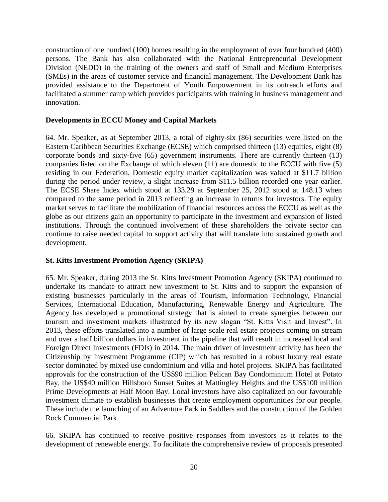construction of one hundred (100) homes resulting in the employment of over four hundred (400) persons. The Bank has also collaborated with the National Entrepreneurial Development Division (NEDD) in the training of the owners and staff of Small and Medium Enterprises (SMEs) in the areas of customer service and financial management. The Development Bank has provided assistance to the Department of Youth Empowerment in its outreach efforts and facilitated a summer camp which provides participants with training in business management and innovation.

#### **Developments in ECCU Money and Capital Markets**

64. Mr. Speaker, as at September 2013, a total of eighty-six (86) securities were listed on the Eastern Caribbean Securities Exchange (ECSE) which comprised thirteen (13) equities, eight (8) corporate bonds and sixty-five (65) government instruments. There are currently thirteen (13) companies listed on the Exchange of which eleven (11) are domestic to the ECCU with five (5) residing in our Federation. Domestic equity market capitalization was valued at \$11.7 billion during the period under review, a slight increase from \$11.5 billion recorded one year earlier. The ECSE Share Index which stood at 133.29 at September 25, 2012 stood at 148.13 when compared to the same period in 2013 reflecting an increase in returns for investors. The equity market serves to facilitate the mobilization of financial resources across the ECCU as well as the globe as our citizens gain an opportunity to participate in the investment and expansion of listed institutions. Through the continued involvement of these shareholders the private sector can continue to raise needed capital to support activity that will translate into sustained growth and development.

#### **St. Kitts Investment Promotion Agency (SKIPA)**

65. Mr. Speaker, during 2013 the St. Kitts Investment Promotion Agency (SKIPA) continued to undertake its mandate to attract new investment to St. Kitts and to support the expansion of existing businesses particularly in the areas of Tourism, Information Technology, Financial Services, International Education, Manufacturing, Renewable Energy and Agriculture. The Agency has developed a promotional strategy that is aimed to create synergies between our tourism and investment markets illustrated by its new slogan "St. Kitts Visit and Invest". In 2013, these efforts translated into a number of large scale real estate projects coming on stream and over a half billion dollars in investment in the pipeline that will result in increased local and Foreign Direct Investments (FDIs) in 2014. The main driver of investment activity has been the Citizenship by Investment Programme (CIP) which has resulted in a robust luxury real estate sector dominated by mixed use condominium and villa and hotel projects. SKIPA has facilitated approvals for the construction of the US\$90 million Pelican Bay Condominium Hotel at Potato Bay, the US\$40 million Hillsboro Sunset Suites at Mattingley Heights and the US\$100 million Prime Developments at Half Moon Bay. Local investors have also capitalized on our favourable investment climate to establish businesses that create employment opportunities for our people. These include the launching of an Adventure Park in Saddlers and the construction of the Golden Rock Commercial Park.

66. SKIPA has continued to receive positive responses from investors as it relates to the development of renewable energy. To facilitate the comprehensive review of proposals presented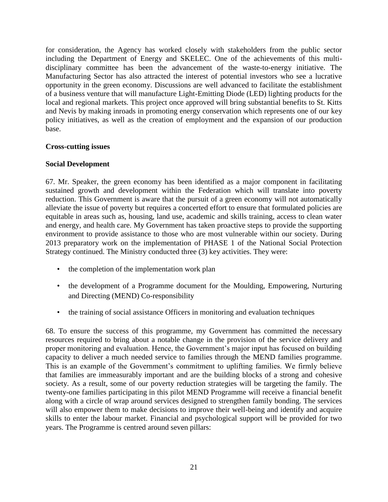for consideration, the Agency has worked closely with stakeholders from the public sector including the Department of Energy and SKELEC. One of the achievements of this multidisciplinary committee has been the advancement of the waste-to-energy initiative. The Manufacturing Sector has also attracted the interest of potential investors who see a lucrative opportunity in the green economy. Discussions are well advanced to facilitate the establishment of a business venture that will manufacture Light-Emitting Diode (LED) lighting products for the local and regional markets. This project once approved will bring substantial benefits to St. Kitts and Nevis by making inroads in promoting energy conservation which represents one of our key policy initiatives, as well as the creation of employment and the expansion of our production base.

#### **Cross-cutting issues**

#### **Social Development**

67. Mr. Speaker, the green economy has been identified as a major component in facilitating sustained growth and development within the Federation which will translate into poverty reduction. This Government is aware that the pursuit of a green economy will not automatically alleviate the issue of poverty but requires a concerted effort to ensure that formulated policies are equitable in areas such as, housing, land use, academic and skills training, access to clean water and energy, and health care. My Government has taken proactive steps to provide the supporting environment to provide assistance to those who are most vulnerable within our society. During 2013 preparatory work on the implementation of PHASE 1 of the National Social Protection Strategy continued. The Ministry conducted three (3) key activities. They were:

- the completion of the implementation work plan
- the development of a Programme document for the Moulding, Empowering, Nurturing and Directing (MEND) Co-responsibility
- the training of social assistance Officers in monitoring and evaluation techniques

68. To ensure the success of this programme, my Government has committed the necessary resources required to bring about a notable change in the provision of the service delivery and proper monitoring and evaluation. Hence, the Government's major input has focused on building capacity to deliver a much needed service to families through the MEND families programme. This is an example of the Government's commitment to uplifting families. We firmly believe that families are immeasurably important and are the building blocks of a strong and cohesive society. As a result, some of our poverty reduction strategies will be targeting the family. The twenty-one families participating in this pilot MEND Programme will receive a financial benefit along with a circle of wrap around services designed to strengthen family bonding. The services will also empower them to make decisions to improve their well-being and identify and acquire skills to enter the labour market. Financial and psychological support will be provided for two years. The Programme is centred around seven pillars: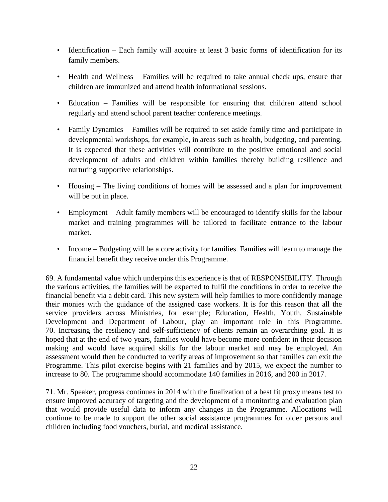- Identification Each family will acquire at least 3 basic forms of identification for its family members.
- Health and Wellness Families will be required to take annual check ups, ensure that children are immunized and attend health informational sessions.
- Education Families will be responsible for ensuring that children attend school regularly and attend school parent teacher conference meetings.
- Family Dynamics Families will be required to set aside family time and participate in developmental workshops, for example, in areas such as health, budgeting, and parenting. It is expected that these activities will contribute to the positive emotional and social development of adults and children within families thereby building resilience and nurturing supportive relationships.
- Housing The living conditions of homes will be assessed and a plan for improvement will be put in place.
- Employment Adult family members will be encouraged to identify skills for the labour market and training programmes will be tailored to facilitate entrance to the labour market.
- Income Budgeting will be a core activity for families. Families will learn to manage the financial benefit they receive under this Programme.

69. A fundamental value which underpins this experience is that of RESPONSIBILITY. Through the various activities, the families will be expected to fulfil the conditions in order to receive the financial benefit via a debit card. This new system will help families to more confidently manage their monies with the guidance of the assigned case workers. It is for this reason that all the service providers across Ministries, for example; Education, Health, Youth, Sustainable Development and Department of Labour, play an important role in this Programme. 70. Increasing the resiliency and self-sufficiency of clients remain an overarching goal. It is hoped that at the end of two years, families would have become more confident in their decision making and would have acquired skills for the labour market and may be employed. An assessment would then be conducted to verify areas of improvement so that families can exit the Programme. This pilot exercise begins with 21 families and by 2015, we expect the number to increase to 80. The programme should accommodate 140 families in 2016, and 200 in 2017.

71. Mr. Speaker, progress continues in 2014 with the finalization of a best fit proxy means test to ensure improved accuracy of targeting and the development of a monitoring and evaluation plan that would provide useful data to inform any changes in the Programme. Allocations will continue to be made to support the other social assistance programmes for older persons and children including food vouchers, burial, and medical assistance.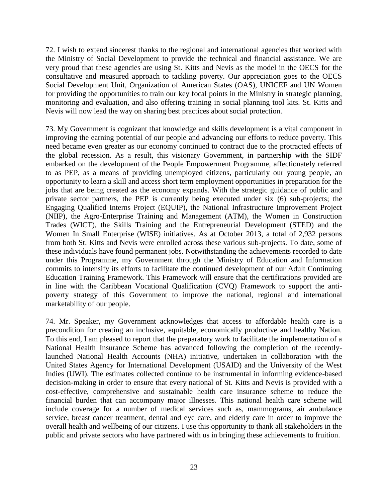72. I wish to extend sincerest thanks to the regional and international agencies that worked with the Ministry of Social Development to provide the technical and financial assistance. We are very proud that these agencies are using St. Kitts and Nevis as the model in the OECS for the consultative and measured approach to tackling poverty. Our appreciation goes to the OECS Social Development Unit, Organization of American States (OAS), UNICEF and UN Women for providing the opportunities to train our key focal points in the Ministry in strategic planning, monitoring and evaluation, and also offering training in social planning tool kits. St. Kitts and Nevis will now lead the way on sharing best practices about social protection.

73. My Government is cognizant that knowledge and skills development is a vital component in improving the earning potential of our people and advancing our efforts to reduce poverty. This need became even greater as our economy continued to contract due to the protracted effects of the global recession. As a result, this visionary Government, in partnership with the SIDF embarked on the development of the People Empowerment Programme, affectionately referred to as PEP, as a means of providing unemployed citizens, particularly our young people, an opportunity to learn a skill and access short term employment opportunities in preparation for the jobs that are being created as the economy expands. With the strategic guidance of public and private sector partners, the PEP is currently being executed under six (6) sub-projects; the Engaging Qualified Interns Project (EQUIP), the National Infrastructure Improvement Project (NIIP), the Agro-Enterprise Training and Management (ATM), the Women in Construction Trades (WICT), the Skills Training and the Entrepreneurial Development (STED) and the Women In Small Enterprise (WISE) initiatives. As at October 2013, a total of 2,932 persons from both St. Kitts and Nevis were enrolled across these various sub-projects. To date, some of these individuals have found permanent jobs. Notwithstanding the achievements recorded to date under this Programme, my Government through the Ministry of Education and Information commits to intensify its efforts to facilitate the continued development of our Adult Continuing Education Training Framework. This Framework will ensure that the certifications provided are in line with the Caribbean Vocational Qualification (CVQ) Framework to support the antipoverty strategy of this Government to improve the national, regional and international marketability of our people.

74. Mr. Speaker, my Government acknowledges that access to affordable health care is a precondition for creating an inclusive, equitable, economically productive and healthy Nation. To this end, I am pleased to report that the preparatory work to facilitate the implementation of a National Health Insurance Scheme has advanced following the completion of the recentlylaunched National Health Accounts (NHA) initiative, undertaken in collaboration with the United States Agency for International Development (USAID) and the University of the West Indies (UWI). The estimates collected continue to be instrumental in informing evidence-based decision-making in order to ensure that every national of St. Kitts and Nevis is provided with a cost-effective, comprehensive and sustainable health care insurance scheme to reduce the financial burden that can accompany major illnesses. This national health care scheme will include coverage for a number of medical services such as, mammograms, air ambulance service, breast cancer treatment, dental and eye care, and elderly care in order to improve the overall health and wellbeing of our citizens. I use this opportunity to thank all stakeholders in the public and private sectors who have partnered with us in bringing these achievements to fruition.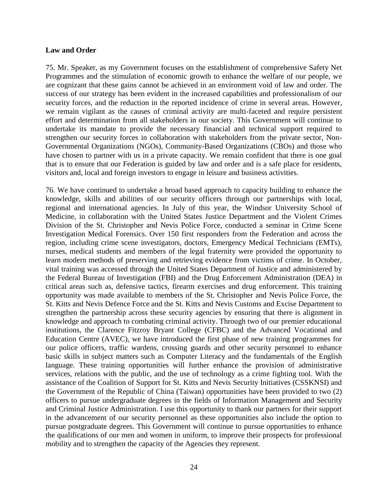#### **Law and Order**

75. Mr. Speaker, as my Government focuses on the establishment of comprehensive Safety Net Programmes and the stimulation of economic growth to enhance the welfare of our people, we are cognizant that these gains cannot be achieved in an environment void of law and order. The success of our strategy has been evident in the increased capabilities and professionalism of our security forces, and the reduction in the reported incidence of crime in several areas. However, we remain vigilant as the causes of criminal activity are multi-faceted and require persistent effort and determination from all stakeholders in our society. This Government will continue to undertake its mandate to provide the necessary financial and technical support required to strengthen our security forces in collaboration with stakeholders from the private sector, Non-Governmental Organizations (NGOs), Community-Based Organizations (CBOs) and those who have chosen to partner with us in a private capacity. We remain confident that there is one goal that is to ensure that our Federation is guided by law and order and is a safe place for residents, visitors and, local and foreign investors to engage in leisure and business activities.

76. We have continued to undertake a broad based approach to capacity building to enhance the knowledge, skills and abilities of our security officers through our partnerships with local, regional and international agencies. In July of this year, the Windsor University School of Medicine, in collaboration with the United States Justice Department and the Violent Crimes Division of the St. Christopher and Nevis Police Force, conducted a seminar in Crime Scene Investigation Medical Forensics. Over 150 first responders from the Federation and across the region, including crime scene investigators, doctors, Emergency Medical Technicians (EMTs), nurses, medical students and members of the legal fraternity were provided the opportunity to learn modern methods of preserving and retrieving evidence from victims of crime. In October, vital training was accessed through the United States Department of Justice and administered by the Federal Bureau of Investigation (FBI) and the Drug Enforcement Administration (DEA) in critical areas such as, defensive tactics, firearm exercises and drug enforcement. This training opportunity was made available to members of the St. Christopher and Nevis Police Force, the St. Kitts and Nevis Defence Force and the St. Kitts and Nevis Customs and Excise Department to strengthen the partnership across these security agencies by ensuring that there is alignment in knowledge and approach to combating criminal activity. Through two of our premier educational institutions, the Clarence Fitzroy Bryant College (CFBC) and the Advanced Vocational and Education Centre (AVEC), we have introduced the first phase of new training programmes for our police officers, traffic wardens, crossing guards and other security personnel to enhance basic skills in subject matters such as Computer Literacy and the fundamentals of the English language. These training opportunities will further enhance the provision of administrative services, relations with the public, and the use of technology as a crime fighting tool. With the assistance of the Coalition of Support for St. Kitts and Nevis Security Initiatives (CSSKNSI) and the Government of the Republic of China (Taiwan) opportunities have been provided to two (2) officers to pursue undergraduate degrees in the fields of Information Management and Security and Criminal Justice Administration. I use this opportunity to thank our partners for their support in the advancement of our security personnel as these opportunities also include the option to pursue postgraduate degrees. This Government will continue to pursue opportunities to enhance the qualifications of our men and women in uniform, to improve their prospects for professional mobility and to strengthen the capacity of the Agencies they represent.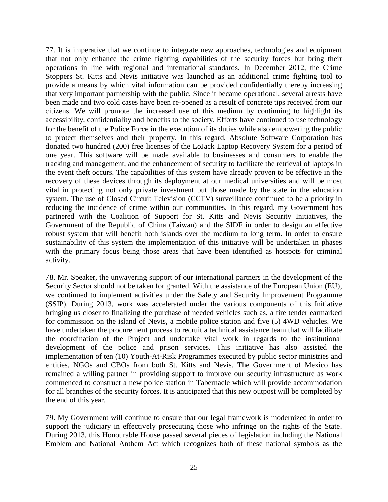77. It is imperative that we continue to integrate new approaches, technologies and equipment that not only enhance the crime fighting capabilities of the security forces but bring their operations in line with regional and international standards. In December 2012, the Crime Stoppers St. Kitts and Nevis initiative was launched as an additional crime fighting tool to provide a means by which vital information can be provided confidentially thereby increasing that very important partnership with the public. Since it became operational, several arrests have been made and two cold cases have been re-opened as a result of concrete tips received from our citizens. We will promote the increased use of this medium by continuing to highlight its accessibility, confidentiality and benefits to the society. Efforts have continued to use technology for the benefit of the Police Force in the execution of its duties while also empowering the public to protect themselves and their property. In this regard, Absolute Software Corporation has donated two hundred (200) free licenses of the LoJack Laptop Recovery System for a period of one year. This software will be made available to businesses and consumers to enable the tracking and management, and the enhancement of security to facilitate the retrieval of laptops in the event theft occurs. The capabilities of this system have already proven to be effective in the recovery of these devices through its deployment at our medical universities and will be most vital in protecting not only private investment but those made by the state in the education system. The use of Closed Circuit Television (CCTV) surveillance continued to be a priority in reducing the incidence of crime within our communities. In this regard, my Government has partnered with the Coalition of Support for St. Kitts and Nevis Security Initiatives, the Government of the Republic of China (Taiwan) and the SIDF in order to design an effective robust system that will benefit both islands over the medium to long term. In order to ensure sustainability of this system the implementation of this initiative will be undertaken in phases with the primary focus being those areas that have been identified as hotspots for criminal activity.

78. Mr. Speaker, the unwavering support of our international partners in the development of the Security Sector should not be taken for granted. With the assistance of the European Union (EU), we continued to implement activities under the Safety and Security Improvement Programme (SSIP). During 2013, work was accelerated under the various components of this Initiative bringing us closer to finalizing the purchase of needed vehicles such as, a fire tender earmarked for commission on the island of Nevis, a mobile police station and five (5) 4WD vehicles. We have undertaken the procurement process to recruit a technical assistance team that will facilitate the coordination of the Project and undertake vital work in regards to the institutional development of the police and prison services. This initiative has also assisted the implementation of ten (10) Youth-At-Risk Programmes executed by public sector ministries and entities, NGOs and CBOs from both St. Kitts and Nevis. The Government of Mexico has remained a willing partner in providing support to improve our security infrastructure as work commenced to construct a new police station in Tabernacle which will provide accommodation for all branches of the security forces. It is anticipated that this new outpost will be completed by the end of this year.

79. My Government will continue to ensure that our legal framework is modernized in order to support the judiciary in effectively prosecuting those who infringe on the rights of the State. During 2013, this Honourable House passed several pieces of legislation including the National Emblem and National Anthem Act which recognizes both of these national symbols as the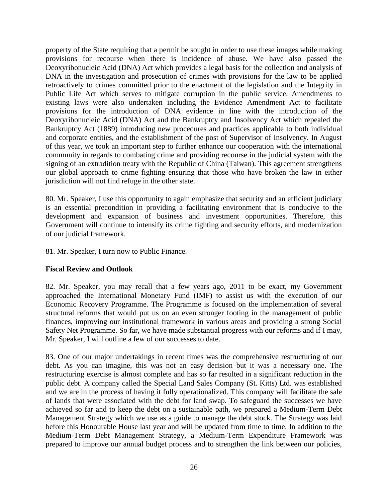property of the State requiring that a permit be sought in order to use these images while making provisions for recourse when there is incidence of abuse. We have also passed the Deoxyribonucleic Acid (DNA) Act which provides a legal basis for the collection and analysis of DNA in the investigation and prosecution of crimes with provisions for the law to be applied retroactively to crimes committed prior to the enactment of the legislation and the Integrity in Public Life Act which serves to mitigate corruption in the public service. Amendments to existing laws were also undertaken including the Evidence Amendment Act to facilitate provisions for the introduction of DNA evidence in line with the introduction of the Deoxyribonucleic Acid (DNA) Act and the Bankruptcy and Insolvency Act which repealed the Bankruptcy Act (1889) introducing new procedures and practices applicable to both individual and corporate entities, and the establishment of the post of Supervisor of Insolvency. In August of this year, we took an important step to further enhance our cooperation with the international community in regards to combating crime and providing recourse in the judicial system with the signing of an extradition treaty with the Republic of China (Taiwan). This agreement strengthens our global approach to crime fighting ensuring that those who have broken the law in either jurisdiction will not find refuge in the other state.

80. Mr. Speaker, I use this opportunity to again emphasize that security and an efficient judiciary is an essential precondition in providing a facilitating environment that is conducive to the development and expansion of business and investment opportunities. Therefore, this Government will continue to intensify its crime fighting and security efforts, and modernization of our judicial framework.

81. Mr. Speaker, I turn now to Public Finance.

#### **Fiscal Review and Outlook**

82. Mr. Speaker, you may recall that a few years ago, 2011 to be exact, my Government approached the International Monetary Fund (IMF) to assist us with the execution of our Economic Recovery Programme. The Programme is focused on the implementation of several structural reforms that would put us on an even stronger footing in the management of public finances, improving our institutional framework in various areas and providing a strong Social Safety Net Programme. So far, we have made substantial progress with our reforms and if I may, Mr. Speaker, I will outline a few of our successes to date.

83. One of our major undertakings in recent times was the comprehensive restructuring of our debt. As you can imagine, this was not an easy decision but it was a necessary one. The restructuring exercise is almost complete and has so far resulted in a significant reduction in the public debt. A company called the Special Land Sales Company (St. Kitts) Ltd. was established and we are in the process of having it fully operationalized. This company will facilitate the sale of lands that were associated with the debt for land swap. To safeguard the successes we have achieved so far and to keep the debt on a sustainable path, we prepared a Medium-Term Debt Management Strategy which we use as a guide to manage the debt stock. The Strategy was laid before this Honourable House last year and will be updated from time to time. In addition to the Medium-Term Debt Management Strategy, a Medium-Term Expenditure Framework was prepared to improve our annual budget process and to strengthen the link between our policies,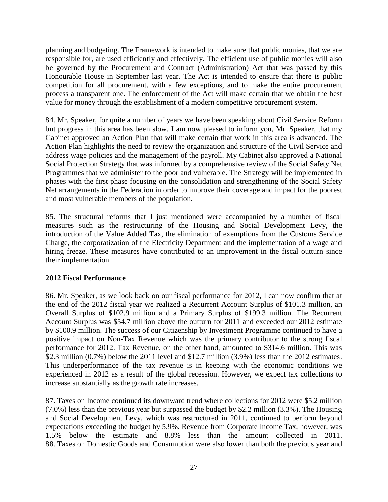planning and budgeting. The Framework is intended to make sure that public monies, that we are responsible for, are used efficiently and effectively. The efficient use of public monies will also be governed by the Procurement and Contract (Administration) Act that was passed by this Honourable House in September last year. The Act is intended to ensure that there is public competition for all procurement, with a few exceptions, and to make the entire procurement process a transparent one. The enforcement of the Act will make certain that we obtain the best value for money through the establishment of a modern competitive procurement system.

84. Mr. Speaker, for quite a number of years we have been speaking about Civil Service Reform but progress in this area has been slow. I am now pleased to inform you, Mr. Speaker, that my Cabinet approved an Action Plan that will make certain that work in this area is advanced. The Action Plan highlights the need to review the organization and structure of the Civil Service and address wage policies and the management of the payroll. My Cabinet also approved a National Social Protection Strategy that was informed by a comprehensive review of the Social Safety Net Programmes that we administer to the poor and vulnerable. The Strategy will be implemented in phases with the first phase focusing on the consolidation and strengthening of the Social Safety Net arrangements in the Federation in order to improve their coverage and impact for the poorest and most vulnerable members of the population.

85. The structural reforms that I just mentioned were accompanied by a number of fiscal measures such as the restructuring of the Housing and Social Development Levy, the introduction of the Value Added Tax, the elimination of exemptions from the Customs Service Charge, the corporatization of the Electricity Department and the implementation of a wage and hiring freeze. These measures have contributed to an improvement in the fiscal outturn since their implementation.

#### **2012 Fiscal Performance**

86. Mr. Speaker, as we look back on our fiscal performance for 2012, I can now confirm that at the end of the 2012 fiscal year we realized a Recurrent Account Surplus of \$101.3 million, an Overall Surplus of \$102.9 million and a Primary Surplus of \$199.3 million. The Recurrent Account Surplus was \$54.7 million above the outturn for 2011 and exceeded our 2012 estimate by \$100.9 million. The success of our Citizenship by Investment Programme continued to have a positive impact on Non-Tax Revenue which was the primary contributor to the strong fiscal performance for 2012. Tax Revenue, on the other hand, amounted to \$314.6 million. This was \$2.3 million (0.7%) below the 2011 level and \$12.7 million (3.9%) less than the 2012 estimates. This underperformance of the tax revenue is in keeping with the economic conditions we experienced in 2012 as a result of the global recession. However, we expect tax collections to increase substantially as the growth rate increases.

87. Taxes on Income continued its downward trend where collections for 2012 were \$5.2 million (7.0%) less than the previous year but surpassed the budget by \$2.2 million (3.3%). The Housing and Social Development Levy, which was restructured in 2011, continued to perform beyond expectations exceeding the budget by 5.9%. Revenue from Corporate Income Tax, however, was 1.5% below the estimate and 8.8% less than the amount collected in 2011. 88. Taxes on Domestic Goods and Consumption were also lower than both the previous year and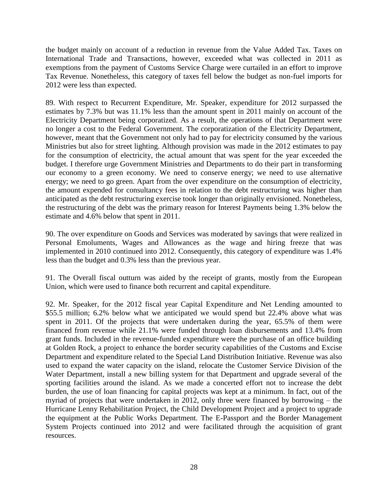the budget mainly on account of a reduction in revenue from the Value Added Tax. Taxes on International Trade and Transactions, however, exceeded what was collected in 2011 as exemptions from the payment of Customs Service Charge were curtailed in an effort to improve Tax Revenue. Nonetheless, this category of taxes fell below the budget as non-fuel imports for 2012 were less than expected.

89. With respect to Recurrent Expenditure, Mr. Speaker, expenditure for 2012 surpassed the estimates by 7.3% but was 11.1% less than the amount spent in 2011 mainly on account of the Electricity Department being corporatized. As a result, the operations of that Department were no longer a cost to the Federal Government. The corporatization of the Electricity Department, however, meant that the Government not only had to pay for electricity consumed by the various Ministries but also for street lighting. Although provision was made in the 2012 estimates to pay for the consumption of electricity, the actual amount that was spent for the year exceeded the budget. I therefore urge Government Ministries and Departments to do their part in transforming our economy to a green economy. We need to conserve energy; we need to use alternative energy; we need to go green. Apart from the over expenditure on the consumption of electricity, the amount expended for consultancy fees in relation to the debt restructuring was higher than anticipated as the debt restructuring exercise took longer than originally envisioned. Nonetheless, the restructuring of the debt was the primary reason for Interest Payments being 1.3% below the estimate and 4.6% below that spent in 2011.

90. The over expenditure on Goods and Services was moderated by savings that were realized in Personal Emoluments, Wages and Allowances as the wage and hiring freeze that was implemented in 2010 continued into 2012. Consequently, this category of expenditure was 1.4% less than the budget and 0.3% less than the previous year.

91. The Overall fiscal outturn was aided by the receipt of grants, mostly from the European Union, which were used to finance both recurrent and capital expenditure.

92. Mr. Speaker, for the 2012 fiscal year Capital Expenditure and Net Lending amounted to \$55.5 million; 6.2% below what we anticipated we would spend but 22.4% above what was spent in 2011. Of the projects that were undertaken during the year, 65.5% of them were financed from revenue while 21.1% were funded through loan disbursements and 13.4% from grant funds. Included in the revenue-funded expenditure were the purchase of an office building at Golden Rock, a project to enhance the border security capabilities of the Customs and Excise Department and expenditure related to the Special Land Distribution Initiative. Revenue was also used to expand the water capacity on the island, relocate the Customer Service Division of the Water Department, install a new billing system for that Department and upgrade several of the sporting facilities around the island. As we made a concerted effort not to increase the debt burden, the use of loan financing for capital projects was kept at a minimum. In fact, out of the myriad of projects that were undertaken in 2012, only three were financed by borrowing – the Hurricane Lenny Rehabilitation Project, the Child Development Project and a project to upgrade the equipment at the Public Works Department. The E-Passport and the Border Management System Projects continued into 2012 and were facilitated through the acquisition of grant resources.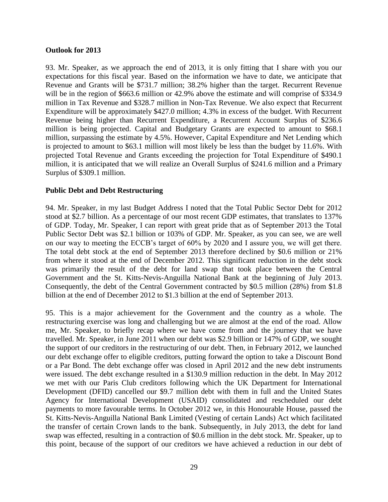#### **Outlook for 2013**

93. Mr. Speaker, as we approach the end of 2013, it is only fitting that I share with you our expectations for this fiscal year. Based on the information we have to date, we anticipate that Revenue and Grants will be \$731.7 million; 38.2% higher than the target. Recurrent Revenue will be in the region of \$663.6 million or 42.9% above the estimate and will comprise of \$334.9 million in Tax Revenue and \$328.7 million in Non-Tax Revenue. We also expect that Recurrent Expenditure will be approximately \$427.0 million; 4.3% in excess of the budget. With Recurrent Revenue being higher than Recurrent Expenditure, a Recurrent Account Surplus of \$236.6 million is being projected. Capital and Budgetary Grants are expected to amount to \$68.1 million, surpassing the estimate by 4.5%. However, Capital Expenditure and Net Lending which is projected to amount to \$63.1 million will most likely be less than the budget by 11.6%. With projected Total Revenue and Grants exceeding the projection for Total Expenditure of \$490.1 million, it is anticipated that we will realize an Overall Surplus of \$241.6 million and a Primary Surplus of \$309.1 million.

#### **Public Debt and Debt Restructuring**

94. Mr. Speaker, in my last Budget Address I noted that the Total Public Sector Debt for 2012 stood at \$2.7 billion. As a percentage of our most recent GDP estimates, that translates to 137% of GDP. Today, Mr. Speaker, I can report with great pride that as of September 2013 the Total Public Sector Debt was \$2.1 billion or 103% of GDP. Mr. Speaker, as you can see, we are well on our way to meeting the ECCB's target of 60% by 2020 and I assure you, we will get there. The total debt stock at the end of September 2013 therefore declined by \$0.6 million or 21% from where it stood at the end of December 2012. This significant reduction in the debt stock was primarily the result of the debt for land swap that took place between the Central Government and the St. Kitts-Nevis-Anguilla National Bank at the beginning of July 2013. Consequently, the debt of the Central Government contracted by \$0.5 million (28%) from \$1.8 billion at the end of December 2012 to \$1.3 billion at the end of September 2013.

95. This is a major achievement for the Government and the country as a whole. The restructuring exercise was long and challenging but we are almost at the end of the road. Allow me, Mr. Speaker, to briefly recap where we have come from and the journey that we have travelled. Mr. Speaker, in June 2011 when our debt was \$2.9 billion or 147% of GDP, we sought the support of our creditors in the restructuring of our debt. Then, in February 2012, we launched our debt exchange offer to eligible creditors, putting forward the option to take a Discount Bond or a Par Bond. The debt exchange offer was closed in April 2012 and the new debt instruments were issued. The debt exchange resulted in a \$130.9 million reduction in the debt. In May 2012 we met with our Paris Club creditors following which the UK Department for International Development (DFID) cancelled our \$9.7 million debt with them in full and the United States Agency for International Development (USAID) consolidated and rescheduled our debt payments to more favourable terms. In October 2012 we, in this Honourable House, passed the St. Kitts-Nevis-Anguilla National Bank Limited (Vesting of certain Lands) Act which facilitated the transfer of certain Crown lands to the bank. Subsequently, in July 2013, the debt for land swap was effected, resulting in a contraction of \$0.6 million in the debt stock. Mr. Speaker, up to this point, because of the support of our creditors we have achieved a reduction in our debt of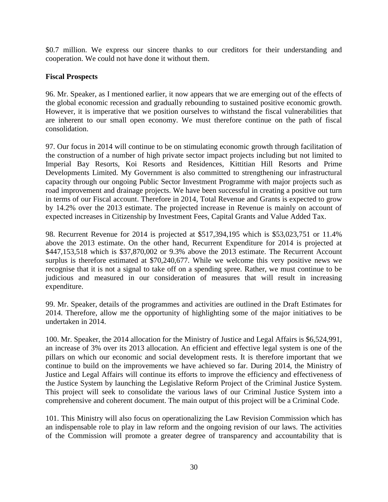\$0.7 million. We express our sincere thanks to our creditors for their understanding and cooperation. We could not have done it without them.

#### **Fiscal Prospects**

96. Mr. Speaker, as I mentioned earlier, it now appears that we are emerging out of the effects of the global economic recession and gradually rebounding to sustained positive economic growth. However, it is imperative that we position ourselves to withstand the fiscal vulnerabilities that are inherent to our small open economy. We must therefore continue on the path of fiscal consolidation.

97. Our focus in 2014 will continue to be on stimulating economic growth through facilitation of the construction of a number of high private sector impact projects including but not limited to Imperial Bay Resorts, Koi Resorts and Residences, Kittitian Hill Resorts and Prime Developments Limited. My Government is also committed to strengthening our infrastructural capacity through our ongoing Public Sector Investment Programme with major projects such as road improvement and drainage projects. We have been successful in creating a positive out turn in terms of our Fiscal account. Therefore in 2014, Total Revenue and Grants is expected to grow by 14.2% over the 2013 estimate. The projected increase in Revenue is mainly on account of expected increases in Citizenship by Investment Fees, Capital Grants and Value Added Tax.

98. Recurrent Revenue for 2014 is projected at \$517,394,195 which is \$53,023,751 or 11.4% above the 2013 estimate. On the other hand, Recurrent Expenditure for 2014 is projected at \$447,153,518 which is \$37,870,002 or 9.3% above the 2013 estimate. The Recurrent Account surplus is therefore estimated at \$70,240,677. While we welcome this very positive news we recognise that it is not a signal to take off on a spending spree. Rather, we must continue to be judicious and measured in our consideration of measures that will result in increasing expenditure.

99. Mr. Speaker, details of the programmes and activities are outlined in the Draft Estimates for 2014. Therefore, allow me the opportunity of highlighting some of the major initiatives to be undertaken in 2014.

100. Mr. Speaker, the 2014 allocation for the Ministry of Justice and Legal Affairs is \$6,524,991, an increase of 3% over its 2013 allocation. An efficient and effective legal system is one of the pillars on which our economic and social development rests. It is therefore important that we continue to build on the improvements we have achieved so far. During 2014, the Ministry of Justice and Legal Affairs will continue its efforts to improve the efficiency and effectiveness of the Justice System by launching the Legislative Reform Project of the Criminal Justice System. This project will seek to consolidate the various laws of our Criminal Justice System into a comprehensive and coherent document. The main output of this project will be a Criminal Code.

101. This Ministry will also focus on operationalizing the Law Revision Commission which has an indispensable role to play in law reform and the ongoing revision of our laws. The activities of the Commission will promote a greater degree of transparency and accountability that is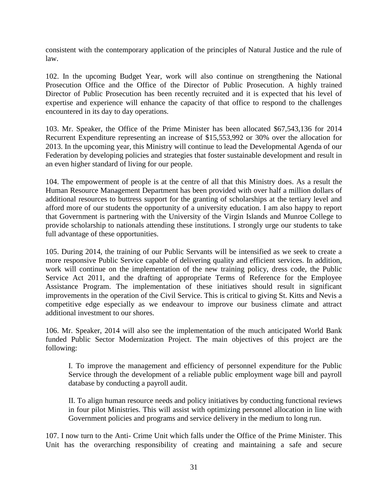consistent with the contemporary application of the principles of Natural Justice and the rule of law.

102. In the upcoming Budget Year, work will also continue on strengthening the National Prosecution Office and the Office of the Director of Public Prosecution. A highly trained Director of Public Prosecution has been recently recruited and it is expected that his level of expertise and experience will enhance the capacity of that office to respond to the challenges encountered in its day to day operations.

103. Mr. Speaker, the Office of the Prime Minister has been allocated \$67,543,136 for 2014 Recurrent Expenditure representing an increase of \$15,553,992 or 30% over the allocation for 2013. In the upcoming year, this Ministry will continue to lead the Developmental Agenda of our Federation by developing policies and strategies that foster sustainable development and result in an even higher standard of living for our people.

104. The empowerment of people is at the centre of all that this Ministry does. As a result the Human Resource Management Department has been provided with over half a million dollars of additional resources to buttress support for the granting of scholarships at the tertiary level and afford more of our students the opportunity of a university education. I am also happy to report that Government is partnering with the University of the Virgin Islands and Munroe College to provide scholarship to nationals attending these institutions. I strongly urge our students to take full advantage of these opportunities.

105. During 2014, the training of our Public Servants will be intensified as we seek to create a more responsive Public Service capable of delivering quality and efficient services. In addition, work will continue on the implementation of the new training policy, dress code, the Public Service Act 2011, and the drafting of appropriate Terms of Reference for the Employee Assistance Program. The implementation of these initiatives should result in significant improvements in the operation of the Civil Service. This is critical to giving St. Kitts and Nevis a competitive edge especially as we endeavour to improve our business climate and attract additional investment to our shores.

106. Mr. Speaker, 2014 will also see the implementation of the much anticipated World Bank funded Public Sector Modernization Project. The main objectives of this project are the following:

I. To improve the management and efficiency of personnel expenditure for the Public Service through the development of a reliable public employment wage bill and payroll database by conducting a payroll audit.

II. To align human resource needs and policy initiatives by conducting functional reviews in four pilot Ministries. This will assist with optimizing personnel allocation in line with Government policies and programs and service delivery in the medium to long run.

107. I now turn to the Anti- Crime Unit which falls under the Office of the Prime Minister. This Unit has the overarching responsibility of creating and maintaining a safe and secure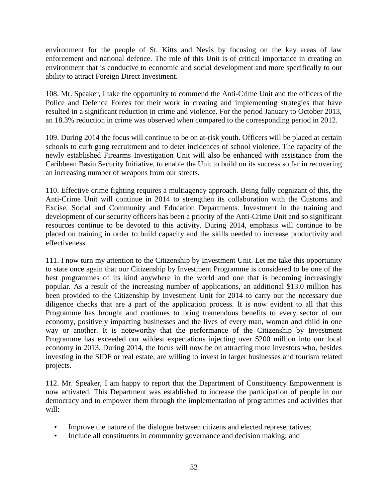environment for the people of St. Kitts and Nevis by focusing on the key areas of law enforcement and national defence. The role of this Unit is of critical importance in creating an environment that is conducive to economic and social development and more specifically to our ability to attract Foreign Direct Investment.

108. Mr. Speaker, I take the opportunity to commend the Anti-Crime Unit and the officers of the Police and Defence Forces for their work in creating and implementing strategies that have resulted in a significant reduction in crime and violence. For the period January to October 2013, an 18.3% reduction in crime was observed when compared to the corresponding period in 2012.

109. During 2014 the focus will continue to be on at-risk youth. Officers will be placed at certain schools to curb gang recruitment and to deter incidences of school violence. The capacity of the newly established Firearms Investigation Unit will also be enhanced with assistance from the Caribbean Basin Security Initiative, to enable the Unit to build on its success so far in recovering an increasing number of weapons from our streets.

110. Effective crime fighting requires a multiagency approach. Being fully cognizant of this, the Anti-Crime Unit will continue in 2014 to strengthen its collaboration with the Customs and Excise, Social and Community and Education Departments. Investment in the training and development of our security officers has been a priority of the Anti-Crime Unit and so significant resources continue to be devoted to this activity. During 2014, emphasis will continue to be placed on training in order to build capacity and the skills needed to increase productivity and effectiveness.

111. I now turn my attention to the Citizenship by Investment Unit. Let me take this opportunity to state once again that our Citizenship by Investment Programme is considered to be one of the best programmes of its kind anywhere in the world and one that is becoming increasingly popular. As a result of the increasing number of applications, an additional \$13.0 million has been provided to the Citizenship by Investment Unit for 2014 to carry out the necessary due diligence checks that are a part of the application process. It is now evident to all that this Programme has brought and continues to bring tremendous benefits to every sector of our economy, positively impacting businesses and the lives of every man, woman and child in one way or another. It is noteworthy that the performance of the Citizenship by Investment Programme has exceeded our wildest expectations injecting over \$200 million into our local economy in 2013. During 2014, the focus will now be on attracting more investors who, besides investing in the SIDF or real estate, are willing to invest in larger businesses and tourism related projects.

112. Mr. Speaker, I am happy to report that the Department of Constituency Empowerment is now activated. This Department was established to increase the participation of people in our democracy and to empower them through the implementation of programmes and activities that will:

- Improve the nature of the dialogue between citizens and elected representatives;
- Include all constituents in community governance and decision making; and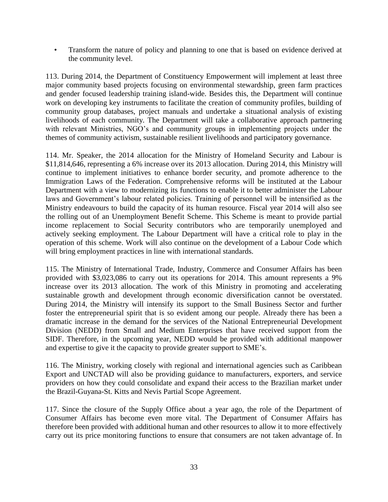• Transform the nature of policy and planning to one that is based on evidence derived at the community level.

113. During 2014, the Department of Constituency Empowerment will implement at least three major community based projects focusing on environmental stewardship, green farm practices and gender focused leadership training island-wide. Besides this, the Department will continue work on developing key instruments to facilitate the creation of community profiles, building of community group databases, project manuals and undertake a situational analysis of existing livelihoods of each community. The Department will take a collaborative approach partnering with relevant Ministries, NGO's and community groups in implementing projects under the themes of community activism, sustainable resilient livelihoods and participatory governance.

114. Mr. Speaker, the 2014 allocation for the Ministry of Homeland Security and Labour is \$11,814,646, representing a 6% increase over its 2013 allocation. During 2014, this Ministry will continue to implement initiatives to enhance border security, and promote adherence to the Immigration Laws of the Federation. Comprehensive reforms will be instituted at the Labour Department with a view to modernizing its functions to enable it to better administer the Labour laws and Government's labour related policies. Training of personnel will be intensified as the Ministry endeavours to build the capacity of its human resource. Fiscal year 2014 will also see the rolling out of an Unemployment Benefit Scheme. This Scheme is meant to provide partial income replacement to Social Security contributors who are temporarily unemployed and actively seeking employment. The Labour Department will have a critical role to play in the operation of this scheme. Work will also continue on the development of a Labour Code which will bring employment practices in line with international standards.

115. The Ministry of International Trade, Industry, Commerce and Consumer Affairs has been provided with \$3,023,086 to carry out its operations for 2014. This amount represents a 9% increase over its 2013 allocation. The work of this Ministry in promoting and accelerating sustainable growth and development through economic diversification cannot be overstated. During 2014, the Ministry will intensify its support to the Small Business Sector and further foster the entrepreneurial spirit that is so evident among our people. Already there has been a dramatic increase in the demand for the services of the National Entrepreneurial Development Division (NEDD) from Small and Medium Enterprises that have received support from the SIDF. Therefore, in the upcoming year, NEDD would be provided with additional manpower and expertise to give it the capacity to provide greater support to SME's.

116. The Ministry, working closely with regional and international agencies such as Caribbean Export and UNCTAD will also be providing guidance to manufacturers, exporters, and service providers on how they could consolidate and expand their access to the Brazilian market under the Brazil-Guyana-St. Kitts and Nevis Partial Scope Agreement.

117. Since the closure of the Supply Office about a year ago, the role of the Department of Consumer Affairs has become even more vital. The Department of Consumer Affairs has therefore been provided with additional human and other resources to allow it to more effectively carry out its price monitoring functions to ensure that consumers are not taken advantage of. In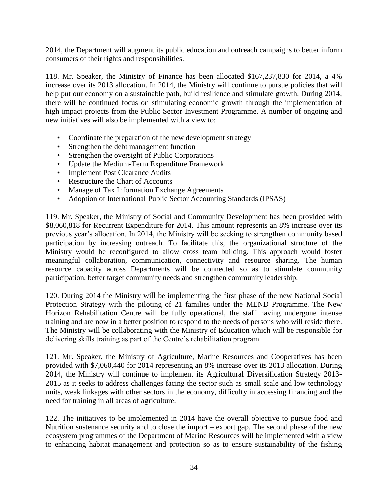2014, the Department will augment its public education and outreach campaigns to better inform consumers of their rights and responsibilities.

118. Mr. Speaker, the Ministry of Finance has been allocated \$167,237,830 for 2014, a 4% increase over its 2013 allocation. In 2014, the Ministry will continue to pursue policies that will help put our economy on a sustainable path, build resilience and stimulate growth. During 2014, there will be continued focus on stimulating economic growth through the implementation of high impact projects from the Public Sector Investment Programme. A number of ongoing and new initiatives will also be implemented with a view to:

- Coordinate the preparation of the new development strategy
- Strengthen the debt management function
- Strengthen the oversight of Public Corporations
- Update the Medium-Term Expenditure Framework
- Implement Post Clearance Audits
- Restructure the Chart of Accounts
- Manage of Tax Information Exchange Agreements
- Adoption of International Public Sector Accounting Standards (IPSAS)

119. Mr. Speaker, the Ministry of Social and Community Development has been provided with \$8,060,818 for Recurrent Expenditure for 2014. This amount represents an 8% increase over its previous year's allocation. In 2014, the Ministry will be seeking to strengthen community based participation by increasing outreach. To facilitate this, the organizational structure of the Ministry would be reconfigured to allow cross team building. This approach would foster meaningful collaboration, communication, connectivity and resource sharing. The human resource capacity across Departments will be connected so as to stimulate community participation, better target community needs and strengthen community leadership.

120. During 2014 the Ministry will be implementing the first phase of the new National Social Protection Strategy with the piloting of 21 families under the MEND Programme. The New Horizon Rehabilitation Centre will be fully operational, the staff having undergone intense training and are now in a better position to respond to the needs of persons who will reside there. The Ministry will be collaborating with the Ministry of Education which will be responsible for delivering skills training as part of the Centre's rehabilitation program.

121. Mr. Speaker, the Ministry of Agriculture, Marine Resources and Cooperatives has been provided with \$7,060,440 for 2014 representing an 8% increase over its 2013 allocation. During 2014, the Ministry will continue to implement its Agricultural Diversification Strategy 2013- 2015 as it seeks to address challenges facing the sector such as small scale and low technology units, weak linkages with other sectors in the economy, difficulty in accessing financing and the need for training in all areas of agriculture.

122. The initiatives to be implemented in 2014 have the overall objective to pursue food and Nutrition sustenance security and to close the import – export gap. The second phase of the new ecosystem programmes of the Department of Marine Resources will be implemented with a view to enhancing habitat management and protection so as to ensure sustainability of the fishing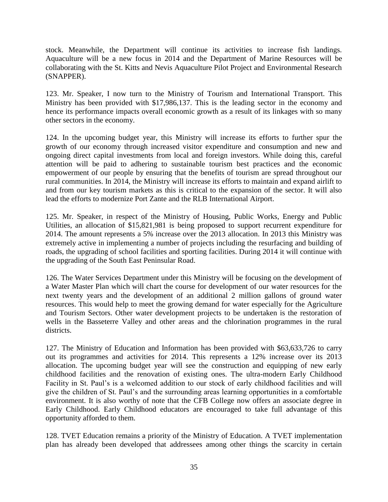stock. Meanwhile, the Department will continue its activities to increase fish landings. Aquaculture will be a new focus in 2014 and the Department of Marine Resources will be collaborating with the St. Kitts and Nevis Aquaculture Pilot Project and Environmental Research (SNAPPER).

123. Mr. Speaker, I now turn to the Ministry of Tourism and International Transport. This Ministry has been provided with \$17,986,137. This is the leading sector in the economy and hence its performance impacts overall economic growth as a result of its linkages with so many other sectors in the economy.

124. In the upcoming budget year, this Ministry will increase its efforts to further spur the growth of our economy through increased visitor expenditure and consumption and new and ongoing direct capital investments from local and foreign investors. While doing this, careful attention will be paid to adhering to sustainable tourism best practices and the economic empowerment of our people by ensuring that the benefits of tourism are spread throughout our rural communities. In 2014, the Ministry will increase its efforts to maintain and expand airlift to and from our key tourism markets as this is critical to the expansion of the sector. It will also lead the efforts to modernize Port Zante and the RLB International Airport.

125. Mr. Speaker, in respect of the Ministry of Housing, Public Works, Energy and Public Utilities, an allocation of \$15,821,981 is being proposed to support recurrent expenditure for 2014. The amount represents a 5% increase over the 2013 allocation. In 2013 this Ministry was extremely active in implementing a number of projects including the resurfacing and building of roads, the upgrading of school facilities and sporting facilities. During 2014 it will continue with the upgrading of the South East Peninsular Road.

126. The Water Services Department under this Ministry will be focusing on the development of a Water Master Plan which will chart the course for development of our water resources for the next twenty years and the development of an additional 2 million gallons of ground water resources. This would help to meet the growing demand for water especially for the Agriculture and Tourism Sectors. Other water development projects to be undertaken is the restoration of wells in the Basseterre Valley and other areas and the chlorination programmes in the rural districts.

127. The Ministry of Education and Information has been provided with \$63,633,726 to carry out its programmes and activities for 2014. This represents a 12% increase over its 2013 allocation. The upcoming budget year will see the construction and equipping of new early childhood facilities and the renovation of existing ones. The ultra-modern Early Childhood Facility in St. Paul's is a welcomed addition to our stock of early childhood facilities and will give the children of St. Paul's and the surrounding areas learning opportunities in a comfortable environment. It is also worthy of note that the CFB College now offers an associate degree in Early Childhood. Early Childhood educators are encouraged to take full advantage of this opportunity afforded to them.

128. TVET Education remains a priority of the Ministry of Education. A TVET implementation plan has already been developed that addressees among other things the scarcity in certain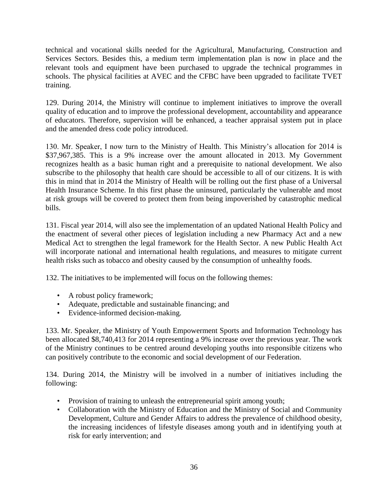technical and vocational skills needed for the Agricultural, Manufacturing, Construction and Services Sectors. Besides this, a medium term implementation plan is now in place and the relevant tools and equipment have been purchased to upgrade the technical programmes in schools. The physical facilities at AVEC and the CFBC have been upgraded to facilitate TVET training.

129. During 2014, the Ministry will continue to implement initiatives to improve the overall quality of education and to improve the professional development, accountability and appearance of educators. Therefore, supervision will be enhanced, a teacher appraisal system put in place and the amended dress code policy introduced.

130. Mr. Speaker, I now turn to the Ministry of Health. This Ministry's allocation for 2014 is \$37,967,385. This is a 9% increase over the amount allocated in 2013. My Government recognizes health as a basic human right and a prerequisite to national development. We also subscribe to the philosophy that health care should be accessible to all of our citizens. It is with this in mind that in 2014 the Ministry of Health will be rolling out the first phase of a Universal Health Insurance Scheme. In this first phase the uninsured, particularly the vulnerable and most at risk groups will be covered to protect them from being impoverished by catastrophic medical bills.

131. Fiscal year 2014, will also see the implementation of an updated National Health Policy and the enactment of several other pieces of legislation including a new Pharmacy Act and a new Medical Act to strengthen the legal framework for the Health Sector. A new Public Health Act will incorporate national and international health regulations, and measures to mitigate current health risks such as tobacco and obesity caused by the consumption of unhealthy foods.

132. The initiatives to be implemented will focus on the following themes:

- A robust policy framework;
- Adequate, predictable and sustainable financing; and
- Evidence-informed decision-making.

133. Mr. Speaker, the Ministry of Youth Empowerment Sports and Information Technology has been allocated \$8,740,413 for 2014 representing a 9% increase over the previous year. The work of the Ministry continues to be centred around developing youths into responsible citizens who can positively contribute to the economic and social development of our Federation.

134. During 2014, the Ministry will be involved in a number of initiatives including the following:

- Provision of training to unleash the entrepreneurial spirit among youth;
- Collaboration with the Ministry of Education and the Ministry of Social and Community Development, Culture and Gender Affairs to address the prevalence of childhood obesity, the increasing incidences of lifestyle diseases among youth and in identifying youth at risk for early intervention; and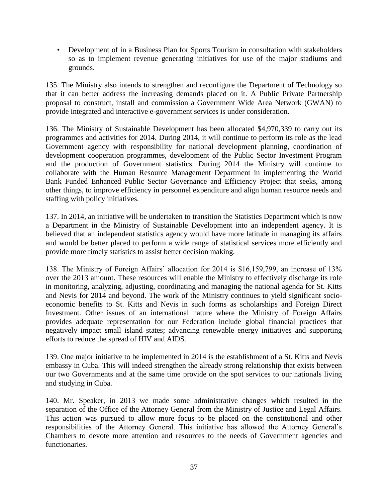• Development of in a Business Plan for Sports Tourism in consultation with stakeholders so as to implement revenue generating initiatives for use of the major stadiums and grounds.

135. The Ministry also intends to strengthen and reconfigure the Department of Technology so that it can better address the increasing demands placed on it. A Public Private Partnership proposal to construct, install and commission a Government Wide Area Network (GWAN) to provide integrated and interactive e-government services is under consideration.

136. The Ministry of Sustainable Development has been allocated \$4,970,339 to carry out its programmes and activities for 2014. During 2014, it will continue to perform its role as the lead Government agency with responsibility for national development planning, coordination of development cooperation programmes, development of the Public Sector Investment Program and the production of Government statistics. During 2014 the Ministry will continue to collaborate with the Human Resource Management Department in implementing the World Bank Funded Enhanced Public Sector Governance and Efficiency Project that seeks, among other things, to improve efficiency in personnel expenditure and align human resource needs and staffing with policy initiatives.

137. In 2014, an initiative will be undertaken to transition the Statistics Department which is now a Department in the Ministry of Sustainable Development into an independent agency. It is believed that an independent statistics agency would have more latitude in managing its affairs and would be better placed to perform a wide range of statistical services more efficiently and provide more timely statistics to assist better decision making.

138. The Ministry of Foreign Affairs' allocation for 2014 is \$16,159,799, an increase of 13% over the 2013 amount. These resources will enable the Ministry to effectively discharge its role in monitoring, analyzing, adjusting, coordinating and managing the national agenda for St. Kitts and Nevis for 2014 and beyond. The work of the Ministry continues to yield significant socioeconomic benefits to St. Kitts and Nevis in such forms as scholarships and Foreign Direct Investment. Other issues of an international nature where the Ministry of Foreign Affairs provides adequate representation for our Federation include global financial practices that negatively impact small island states; advancing renewable energy initiatives and supporting efforts to reduce the spread of HIV and AIDS.

139. One major initiative to be implemented in 2014 is the establishment of a St. Kitts and Nevis embassy in Cuba. This will indeed strengthen the already strong relationship that exists between our two Governments and at the same time provide on the spot services to our nationals living and studying in Cuba.

140. Mr. Speaker, in 2013 we made some administrative changes which resulted in the separation of the Office of the Attorney General from the Ministry of Justice and Legal Affairs. This action was pursued to allow more focus to be placed on the constitutional and other responsibilities of the Attorney General. This initiative has allowed the Attorney General's Chambers to devote more attention and resources to the needs of Government agencies and functionaries.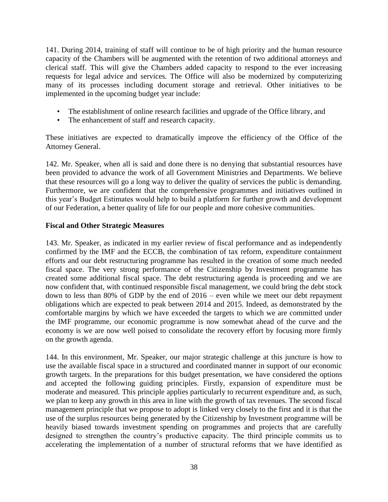141. During 2014, training of staff will continue to be of high priority and the human resource capacity of the Chambers will be augmented with the retention of two additional attorneys and clerical staff. This will give the Chambers added capacity to respond to the ever increasing requests for legal advice and services. The Office will also be modernized by computerizing many of its processes including document storage and retrieval. Other initiatives to be implemented in the upcoming budget year include:

- The establishment of online research facilities and upgrade of the Office library, and
- The enhancement of staff and research capacity.

These initiatives are expected to dramatically improve the efficiency of the Office of the Attorney General.

142. Mr. Speaker, when all is said and done there is no denying that substantial resources have been provided to advance the work of all Government Ministries and Departments. We believe that these resources will go a long way to deliver the quality of services the public is demanding. Furthermore, we are confident that the comprehensive programmes and initiatives outlined in this year's Budget Estimates would help to build a platform for further growth and development of our Federation, a better quality of life for our people and more cohesive communities.

#### **Fiscal and Other Strategic Measures**

143. Mr. Speaker, as indicated in my earlier review of fiscal performance and as independently confirmed by the IMF and the ECCB, the combination of tax reform, expenditure containment efforts and our debt restructuring programme has resulted in the creation of some much needed fiscal space. The very strong performance of the Citizenship by Investment programme has created some additional fiscal space. The debt restructuring agenda is proceeding and we are now confident that, with continued responsible fiscal management, we could bring the debt stock down to less than 80% of GDP by the end of 2016 – even while we meet our debt repayment obligations which are expected to peak between 2014 and 2015. Indeed, as demonstrated by the comfortable margins by which we have exceeded the targets to which we are committed under the IMF programme, our economic programme is now somewhat ahead of the curve and the economy is we are now well poised to consolidate the recovery effort by focusing more firmly on the growth agenda.

144. In this environment, Mr. Speaker, our major strategic challenge at this juncture is how to use the available fiscal space in a structured and coordinated manner in support of our economic growth targets. In the preparations for this budget presentation, we have considered the options and accepted the following guiding principles. Firstly, expansion of expenditure must be moderate and measured. This principle applies particularly to recurrent expenditure and, as such, we plan to keep any growth in this area in line with the growth of tax revenues. The second fiscal management principle that we propose to adopt is linked very closely to the first and it is that the use of the surplus resources being generated by the Citizenship by Investment programme will be heavily biased towards investment spending on programmes and projects that are carefully designed to strengthen the country's productive capacity. The third principle commits us to accelerating the implementation of a number of structural reforms that we have identified as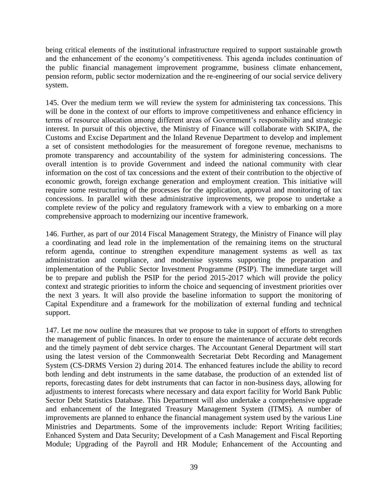being critical elements of the institutional infrastructure required to support sustainable growth and the enhancement of the economy's competitiveness. This agenda includes continuation of the public financial management improvement programme, business climate enhancement, pension reform, public sector modernization and the re-engineering of our social service delivery system.

145. Over the medium term we will review the system for administering tax concessions. This will be done in the context of our efforts to improve competitiveness and enhance efficiency in terms of resource allocation among different areas of Government's responsibility and strategic interest. In pursuit of this objective, the Ministry of Finance will collaborate with SKIPA, the Customs and Excise Department and the Inland Revenue Department to develop and implement a set of consistent methodologies for the measurement of foregone revenue, mechanisms to promote transparency and accountability of the system for administering concessions. The overall intention is to provide Government and indeed the national community with clear information on the cost of tax concessions and the extent of their contribution to the objective of economic growth, foreign exchange generation and employment creation. This initiative will require some restructuring of the processes for the application, approval and monitoring of tax concessions. In parallel with these administrative improvements, we propose to undertake a complete review of the policy and regulatory framework with a view to embarking on a more comprehensive approach to modernizing our incentive framework.

146. Further, as part of our 2014 Fiscal Management Strategy, the Ministry of Finance will play a coordinating and lead role in the implementation of the remaining items on the structural reform agenda, continue to strengthen expenditure management systems as well as tax administration and compliance, and modernise systems supporting the preparation and implementation of the Public Sector Investment Programme (PSIP). The immediate target will be to prepare and publish the PSIP for the period 2015-2017 which will provide the policy context and strategic priorities to inform the choice and sequencing of investment priorities over the next 3 years. It will also provide the baseline information to support the monitoring of Capital Expenditure and a framework for the mobilization of external funding and technical support.

147. Let me now outline the measures that we propose to take in support of efforts to strengthen the management of public finances. In order to ensure the maintenance of accurate debt records and the timely payment of debt service charges. The Accountant General Department will start using the latest version of the Commonwealth Secretariat Debt Recording and Management System (CS-DRMS Version 2) during 2014. The enhanced features include the ability to record both lending and debt instruments in the same database, the production of an extended list of reports, forecasting dates for debt instruments that can factor in non-business days, allowing for adjustments to interest forecasts where necessary and data export facility for World Bank Public Sector Debt Statistics Database. This Department will also undertake a comprehensive upgrade and enhancement of the Integrated Treasury Management System (ITMS). A number of improvements are planned to enhance the financial management system used by the various Line Ministries and Departments. Some of the improvements include: Report Writing facilities; Enhanced System and Data Security; Development of a Cash Management and Fiscal Reporting Module; Upgrading of the Payroll and HR Module; Enhancement of the Accounting and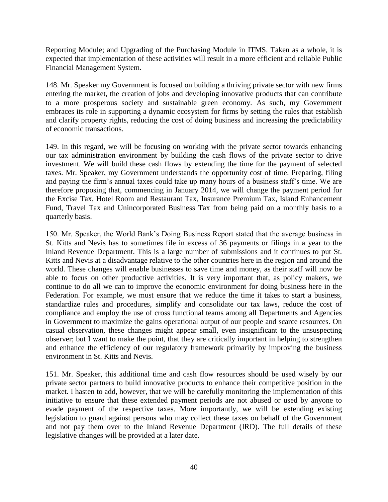Reporting Module; and Upgrading of the Purchasing Module in ITMS. Taken as a whole, it is expected that implementation of these activities will result in a more efficient and reliable Public Financial Management System.

148. Mr. Speaker my Government is focused on building a thriving private sector with new firms entering the market, the creation of jobs and developing innovative products that can contribute to a more prosperous society and sustainable green economy. As such, my Government embraces its role in supporting a dynamic ecosystem for firms by setting the rules that establish and clarify property rights, reducing the cost of doing business and increasing the predictability of economic transactions.

149. In this regard, we will be focusing on working with the private sector towards enhancing our tax administration environment by building the cash flows of the private sector to drive investment. We will build these cash flows by extending the time for the payment of selected taxes. Mr. Speaker, my Government understands the opportunity cost of time. Preparing, filing and paying the firm's annual taxes could take up many hours of a business staff's time. We are therefore proposing that, commencing in January 2014, we will change the payment period for the Excise Tax, Hotel Room and Restaurant Tax, Insurance Premium Tax, Island Enhancement Fund, Travel Tax and Unincorporated Business Tax from being paid on a monthly basis to a quarterly basis.

150. Mr. Speaker, the World Bank's Doing Business Report stated that the average business in St. Kitts and Nevis has to sometimes file in excess of 36 payments or filings in a year to the Inland Revenue Department. This is a large number of submissions and it continues to put St. Kitts and Nevis at a disadvantage relative to the other countries here in the region and around the world. These changes will enable businesses to save time and money, as their staff will now be able to focus on other productive activities. It is very important that, as policy makers, we continue to do all we can to improve the economic environment for doing business here in the Federation. For example, we must ensure that we reduce the time it takes to start a business, standardize rules and procedures, simplify and consolidate our tax laws, reduce the cost of compliance and employ the use of cross functional teams among all Departments and Agencies in Government to maximize the gains operational output of our people and scarce resources. On casual observation, these changes might appear small, even insignificant to the unsuspecting observer; but I want to make the point, that they are critically important in helping to strengthen and enhance the efficiency of our regulatory framework primarily by improving the business environment in St. Kitts and Nevis.

151. Mr. Speaker, this additional time and cash flow resources should be used wisely by our private sector partners to build innovative products to enhance their competitive position in the market. I hasten to add, however, that we will be carefully monitoring the implementation of this initiative to ensure that these extended payment periods are not abused or used by anyone to evade payment of the respective taxes. More importantly, we will be extending existing legislation to guard against persons who may collect these taxes on behalf of the Government and not pay them over to the Inland Revenue Department (IRD). The full details of these legislative changes will be provided at a later date.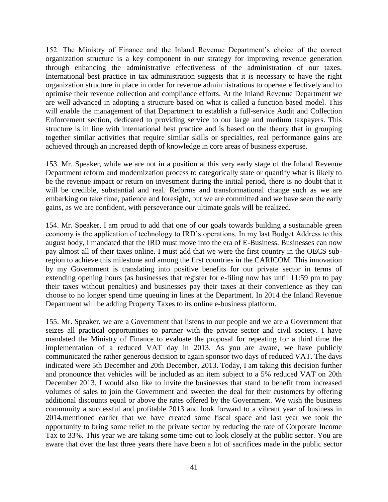152. The Ministry of Finance and the Inland Revenue Department's choice of the correct organization structure is a key component in our strategy for improving revenue generation through enhancing the administrative effectiveness of the administration of our taxes. International best practice in tax administration suggests that it is necessary to have the right organization structure in place in order for revenue admin¬istrations to operate effectively and to optimise their revenue collection and compliance efforts. At the Inland Revenue Department we are well advanced in adopting a structure based on what is called a function based model. This will enable the management of that Department to establish a full-service Audit and Collection Enforcement section, dedicated to providing service to our large and medium taxpayers. This structure is in line with international best practice and is based on the theory that in grouping together similar activities that require similar skills or specialties, real performance gains are achieved through an increased depth of knowledge in core areas of business expertise.

153. Mr. Speaker, while we are not in a position at this very early stage of the Inland Revenue Department reform and modernization process to categorically state or quantify what is likely to be the revenue impact or return on investment during the initial period, there is no doubt that it will be credible, substantial and real. Reforms and transformational change such as we are embarking on take time, patience and foresight, but we are committed and we have seen the early gains, as we are confident, with perseverance our ultimate goals will be realized.

154. Mr. Speaker, I am proud to add that one of our goals towards building a sustainable green economy is the application of technology to IRD's operations. In my last Budget Address to this august body, I mandated that the IRD must move into the era of E-Business. Businesses can now pay almost all of their taxes online. I must add that we were the first country in the OECS subregion to achieve this milestone and among the first countries in the CARICOM. This innovation by my Government is translating into positive benefits for our private sector in terms of extending opening hours (as businesses that register for e-filing now has until 11:59 pm to pay their taxes without penalties) and businesses pay their taxes at their convenience as they can choose to no longer spend time queuing in lines at the Department. In 2014 the Inland Revenue Department will be adding Property Taxes to its online e-business platform.

155. Mr. Speaker, we are a Government that listens to our people and we are a Government that seizes all practical opportunities to partner with the private sector and civil society. I have mandated the Ministry of Finance to evaluate the proposal for repeating for a third time the implementation of a reduced VAT day in 2013. As you are aware, we have publicly communicated the rather generous decision to again sponsor two days of reduced VAT. The days indicated were 5th December and 20th December, 2013. Today, I am taking this decision further and pronounce that vehicles will be included as an item subject to a 5% reduced VAT on 20th December 2013. I would also like to invite the businesses that stand to benefit from increased volumes of sales to join the Government and sweeten the deal for their customers by offering additional discounts equal or above the rates offered by the Government. We wish the business community a successful and profitable 2013 and look forward to a vibrant year of business in 2014.mentioned earlier that we have created some fiscal space and last year we took the opportunity to bring some relief to the private sector by reducing the rate of Corporate Income Tax to 33%. This year we are taking some time out to look closely at the public sector. You are aware that over the last three years there have been a lot of sacrifices made in the public sector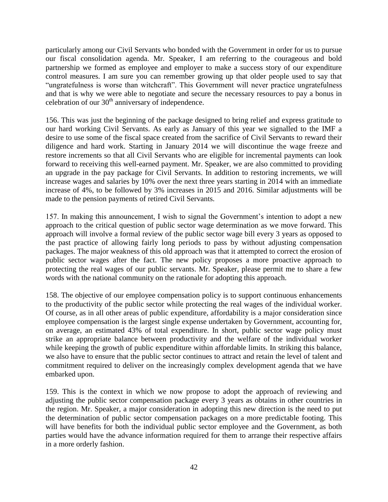particularly among our Civil Servants who bonded with the Government in order for us to pursue our fiscal consolidation agenda. Mr. Speaker, I am referring to the courageous and bold partnership we formed as employee and employer to make a success story of our expenditure control measures. I am sure you can remember growing up that older people used to say that "ungratefulness is worse than witchcraft". This Government will never practice ungratefulness and that is why we were able to negotiate and secure the necessary resources to pay a bonus in celebration of our  $30<sup>th</sup>$  anniversary of independence.

156. This was just the beginning of the package designed to bring relief and express gratitude to our hard working Civil Servants. As early as January of this year we signalled to the IMF a desire to use some of the fiscal space created from the sacrifice of Civil Servants to reward their diligence and hard work. Starting in January 2014 we will discontinue the wage freeze and restore increments so that all Civil Servants who are eligible for incremental payments can look forward to receiving this well-earned payment. Mr. Speaker, we are also committed to providing an upgrade in the pay package for Civil Servants. In addition to restoring increments, we will increase wages and salaries by 10% over the next three years starting in 2014 with an immediate increase of 4%, to be followed by 3% increases in 2015 and 2016. Similar adjustments will be made to the pension payments of retired Civil Servants.

157. In making this announcement, I wish to signal the Government's intention to adopt a new approach to the critical question of public sector wage determination as we move forward. This approach will involve a formal review of the public sector wage bill every 3 years as opposed to the past practice of allowing fairly long periods to pass by without adjusting compensation packages. The major weakness of this old approach was that it attempted to correct the erosion of public sector wages after the fact. The new policy proposes a more proactive approach to protecting the real wages of our public servants. Mr. Speaker, please permit me to share a few words with the national community on the rationale for adopting this approach.

158. The objective of our employee compensation policy is to support continuous enhancements to the productivity of the public sector while protecting the real wages of the individual worker. Of course, as in all other areas of public expenditure, affordability is a major consideration since employee compensation is the largest single expense undertaken by Government, accounting for, on average, an estimated 43% of total expenditure. In short, public sector wage policy must strike an appropriate balance between productivity and the welfare of the individual worker while keeping the growth of public expenditure within affordable limits. In striking this balance, we also have to ensure that the public sector continues to attract and retain the level of talent and commitment required to deliver on the increasingly complex development agenda that we have embarked upon.

159. This is the context in which we now propose to adopt the approach of reviewing and adjusting the public sector compensation package every 3 years as obtains in other countries in the region. Mr. Speaker, a major consideration in adopting this new direction is the need to put the determination of public sector compensation packages on a more predictable footing. This will have benefits for both the individual public sector employee and the Government, as both parties would have the advance information required for them to arrange their respective affairs in a more orderly fashion.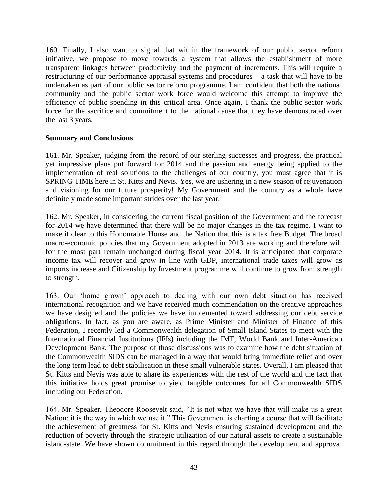160. Finally, I also want to signal that within the framework of our public sector reform initiative, we propose to move towards a system that allows the establishment of more transparent linkages between productivity and the payment of increments. This will require a restructuring of our performance appraisal systems and procedures – a task that will have to be undertaken as part of our public sector reform programme. I am confident that both the national community and the public sector work force would welcome this attempt to improve the efficiency of public spending in this critical area. Once again, I thank the public sector work force for the sacrifice and commitment to the national cause that they have demonstrated over the last 3 years.

#### **Summary and Conclusions**

161. Mr. Speaker, judging from the record of our sterling successes and progress, the practical yet impressive plans put forward for 2014 and the passion and energy being applied to the implementation of real solutions to the challenges of our country, you must agree that it is SPRING TIME here in St. Kitts and Nevis. Yes, we are ushering in a new season of rejuvenation and visioning for our future prosperity! My Government and the country as a whole have definitely made some important strides over the last year.

162. Mr. Speaker, in considering the current fiscal position of the Government and the forecast for 2014 we have determined that there will be no major changes in the tax regime. I want to make it clear to this Honourable House and the Nation that this is a tax free Budget. The broad macro-economic policies that my Government adopted in 2013 are working and therefore will for the most part remain unchanged during fiscal year 2014. It is anticipated that corporate income tax will recover and grow in line with GDP, international trade taxes will grow as imports increase and Citizenship by Investment programme will continue to grow from strength to strength.

163. Our 'home grown' approach to dealing with our own debt situation has received international recognition and we have received much commendation on the creative approaches we have designed and the policies we have implemented toward addressing our debt service obligations. In fact, as you are aware, as Prime Minister and Minister of Finance of this Federation, I recently led a Commonwealth delegation of Small Island States to meet with the International Financial Institutions (IFIs) including the IMF, World Bank and Inter-American Development Bank. The purpose of those discussions was to examine how the debt situation of the Commonwealth SIDS can be managed in a way that would bring immediate relief and over the long term lead to debt stabilisation in these small vulnerable states. Overall, I am pleased that St. Kitts and Nevis was able to share its experiences with the rest of the world and the fact that this initiative holds great promise to yield tangible outcomes for all Commonwealth SIDS including our Federation.

164. Mr. Speaker, Theodore Roosevelt said, "It is not what we have that will make us a great Nation; it is the way in which we use it." This Government is charting a course that will facilitate the achievement of greatness for St. Kitts and Nevis ensuring sustained development and the reduction of poverty through the strategic utilization of our natural assets to create a sustainable island-state. We have shown commitment in this regard through the development and approval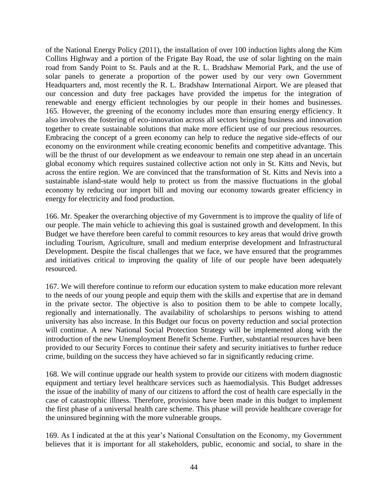of the National Energy Policy (2011), the installation of over 100 induction lights along the Kim Collins Highway and a portion of the Frigate Bay Road, the use of solar lighting on the main road from Sandy Point to St. Pauls and at the R. L. Bradshaw Memorial Park, and the use of solar panels to generate a proportion of the power used by our very own Government Headquarters and, most recently the R. L. Bradshaw International Airport. We are pleased that our concession and duty free packages have provided the impetus for the integration of renewable and energy efficient technologies by our people in their homes and businesses. 165. However, the greening of the economy includes more than ensuring energy efficiency. It also involves the fostering of eco-innovation across all sectors bringing business and innovation together to create sustainable solutions that make more efficient use of our precious resources. Embracing the concept of a green economy can help to reduce the negative side-effects of our economy on the environment while creating economic benefits and competitive advantage. This will be the thrust of our development as we endeavour to remain one step ahead in an uncertain global economy which requires sustained collective action not only in St. Kitts and Nevis, but across the entire region. We are convinced that the transformation of St. Kitts and Nevis into a sustainable island-state would help to protect us from the massive fluctuations in the global economy by reducing our import bill and moving our economy towards greater efficiency in energy for electricity and food production.

166. Mr. Speaker the overarching objective of my Government is to improve the quality of life of our people. The main vehicle to achieving this goal is sustained growth and development. In this Budget we have therefore been careful to commit resources to key areas that would drive growth including Tourism, Agriculture, small and medium enterprise development and Infrastructural Development. Despite the fiscal challenges that we face, we have ensured that the programmes and initiatives critical to improving the quality of life of our people have been adequately resourced.

167. We will therefore continue to reform our education system to make education more relevant to the needs of our young people and equip them with the skills and expertise that are in demand in the private sector. The objective is also to position them to be able to compete locally, regionally and internationally. The availability of scholarships to persons wishing to attend university has also increase. In this Budget our focus on poverty reduction and social protection will continue. A new National Social Protection Strategy will be implemented along with the introduction of the new Unemployment Benefit Scheme. Further, substantial resources have been provided to our Security Forces to continue their safety and security initiatives to further reduce crime, building on the success they have achieved so far in significantly reducing crime.

168. We will continue upgrade our health system to provide our citizens with modern diagnostic equipment and tertiary level healthcare services such as haemodialysis. This Budget addresses the issue of the inability of many of our citizens to afford the cost of health care especially in the case of catastrophic illness. Therefore, provisions have been made in this budget to implement the first phase of a universal health care scheme. This phase will provide healthcare coverage for the uninsured beginning with the more vulnerable groups.

169. As I indicated at the at this year's National Consultation on the Economy, my Government believes that it is important for all stakeholders, public, economic and social, to share in the